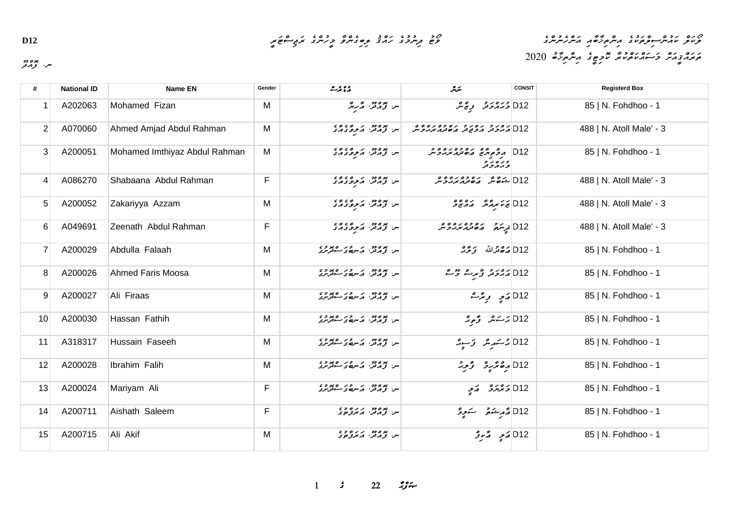*sCw7q7s5w7m< o<n9nOoAw7o< sCq;mAwBoEw7q<m; wBm;vB* م من المرة المرة المرة المرجع المرجع في المركبة 2020<br>مجم*د المريض المربوط المربع المرجع في المراجع المركبة* 

| #              | <b>National ID</b> | Name EN                       | Gender      | بروبره                                                 | سرپر                                                   | <b>CONSIT</b> | <b>Registerd Box</b>     |
|----------------|--------------------|-------------------------------|-------------|--------------------------------------------------------|--------------------------------------------------------|---------------|--------------------------|
|                | A202063            | Mohamed Fizan                 | M           | س پرووړ پر پر                                          | D12 <i>جەنگە خەتى بىر ئا</i> گىر                       |               | 85   N. Fohdhoo - 1      |
| $\overline{2}$ | A070060            | Ahmed Amjad Abdul Rahman      | M           | س پره دو د کرون ده                                     | D12 كەس دە بەدە بەدە بەدە بەدە بەدە بەدە بەد           |               | 488   N. Atoll Male' - 3 |
| 3              | A200051            | Mohamed Imthiyaz Abdul Rahman | M           | س پره دو بر د د ده                                     | D12 תכפתי בסינת תהכית<br>و ره ر و<br><i>د ب</i> رگر تر |               | 85   N. Fohdhoo - 1      |
| 4              | A086270            | Shabaana Abdul Rahman         | F           | س پره دو کروگاه کا                                     |                                                        |               | 488   N. Atoll Male' - 3 |
| 5              | A200052            | Zakariyya Azzam               | M           | س پره دو د کرده ده                                     | D12 ئ <i>ے ئامرونگر مذمریح</i>                         |               | 488   N. Atoll Male' - 3 |
| 6              | A049691            | Zeenath Abdul Rahman          | $\mathsf F$ | س پوه ده د د ده ده                                     | D12 <sub>فر</sub> ىتر <i>ە مەمەمەرە بو</i>             |               | 488   N. Atoll Male' - 3 |
| $\overline{7}$ | A200029            | Abdulla Falaah                | M           | س بوه دو مرسود به دو د و د                             | D12 مَەھتراللە ئەمەم                                   |               | 85   N. Fohdhoo - 1      |
| 8              | A200026            | <b>Ahmed Faris Moosa</b>      | M           | س و وود به در و د د د د<br>س و د تر که بر سورس         | D12 كەندۇقە ئ <i>ۇيرىش ق</i> ەشە                       |               | 85   N. Fohdhoo - 1      |
| 9              | A200027            | Ali Firaas                    | M           | بر بره دو.<br>س: تو پرتر، پرسره کی سوترس               | D12  پر ویژگ                                           |               | 85   N. Fohdhoo - 1      |
| 10             | A200030            | Hassan Fathih                 | M           | بر بره دو بر سرور ۲۵ ور د<br>س و برتر بر سرجایی سوترس  | D12 ئەسەئىش ئ <i>ۇم</i> ەبتە                           |               | 85   N. Fohdhoo - 1      |
| 11             | A318317            | Hussain Faseeh                | M           | מי 2000 ה' משפיר 2000.<br>ייני 3 מיטי ה' משפי ייבנית ב | D12 پرستہر بھر توسی <sup>و</sup>                       |               | 85   N. Fohdhoo - 1      |
| 12             | A200028            | Ibrahim Falih                 | M           | س بوه دو مر در مرد د د<br>س تو مرتبر که سعود سوترس     | D12 <sub>مو</sub> ڇ <i>مگرچ گ</i> ويژ                  |               | 85   N. Fohdhoo - 1      |
| 13             | A200024            | Mariyam Ali                   | $\mathsf F$ | מי 2000 ה' משפיר 2000.<br>ייני 3 מיטי ה' משפי ייבנית ב | D12 <i>ق مگ</i> و گھ                                   |               | 85   N. Fohdhoo - 1      |
| 14             | A200711            | Aishath Saleem                | $\mathsf F$ | س بوه دو.<br>س ژوند، د برومون                          | D12 مۇم ئىقى مەمر ئى                                   |               | 85   N. Fohdhoo - 1      |
| 15             | A200715            | Ali Akif                      | M           | یده دو بر بر د د د<br>س تو بر تر برتو د د              | D12 <i>ڇپ ڇپ</i> و                                     |               | 85   N. Fohdhoo - 1      |

 $1$  *s*  $22$  *i*<sub>s</sub> $\therefore$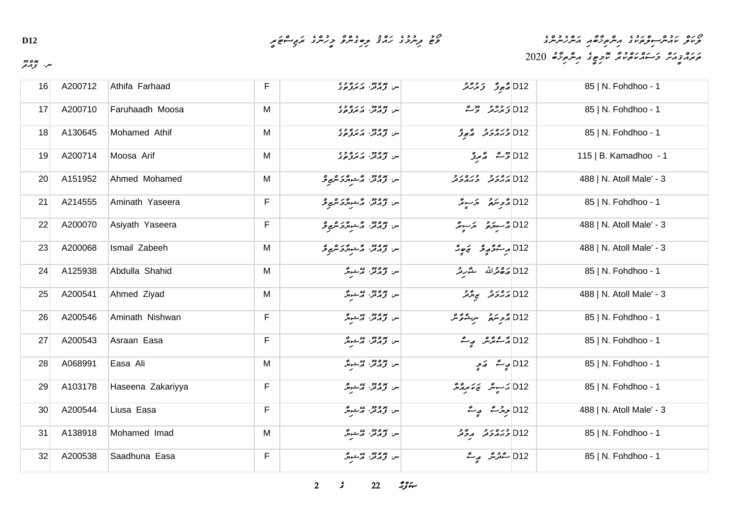*sCw7q7s5w7m< o<n9nOoAw7o< sCq;mAwBoEw7q<m; wBm;vB* م من المرة المرة المرة المرجع المرجع في المركبة 2020<br>مجم*د المريض المربوط المربع المرجع في المراجع المركبة* 

| 16 | A200712 | Athifa Farhaad    | $\mathsf F$ | س بوه ده در دود.<br>س ژم <i>دن معزوی</i>       | D12 م <i>ُّهوِدٌ وَمُرَكَّد</i> ُ              | 85   N. Fohdhoo - 1      |
|----|---------|-------------------|-------------|------------------------------------------------|------------------------------------------------|--------------------------|
| 17 | A200710 | Faruhaadh Moosa   | M           | س میں دو در دو دی<br>س ترمانش منحرق دی         | D12 كۈچر <i>گەنى تى</i> گ                      | 85   N. Fohdhoo - 1      |
| 18 | A130645 | Mohamed Athif     | M           | س بوه دو بر رود.<br>س ژم <sup>و</sup> ر معرومی | D12 <i>جەنگە جۇ ھەب</i> ۇ                      | 85   N. Fohdhoo - 1      |
| 19 | A200714 | Moosa Arif        | M           | س موه درود.<br>س ژمنز مترومی                   | D12 تميز                                       | 115   B. Kamadhoo - 1    |
| 20 | A151952 | Ahmed Mohamed     | M           | س پرەدە گەرگەرگەن كو                           | D12 كەبرو مەمەدىر                              | 488   N. Atoll Male' - 3 |
| 21 | A214555 | Aminath Yaseera   | F           | س تورور گروشورگر مربع ک                        | D12 مَّ جِسَمَّهُ مَ مَرْسِيمُّ                | 85   N. Fohdhoo - 1      |
| 22 | A200070 | Asiyath Yaseera   | F           | س پرودو، گرے گرکر مربع کی                      | D12 م <i>ەسىدىنى مەسى</i> م                    | 488   N. Atoll Male' - 3 |
| 23 | A200068 | Ismail Zabeeh     | M           | س ترمان مُشِيرَ شَرِي شَي وَ                   | D12 م <i>ې</i> شتۇمەتتى ت <sub>ەھ</sub> ر      | 488   N. Atoll Male' - 3 |
| 24 | A125938 | Abdulla Shahid    | M           | س ومحمد الأستر                                 | D12 مَەھْمَراللە مەمَّرى <i>رْ</i>             | 85   N. Fohdhoo - 1      |
| 25 | A200541 | Ahmed Ziyad       | M           | س ومحمد الأشعار                                | D12 كەش <sup>ى</sup> كەش سېرتىگە               | 488   N. Atoll Male' - 3 |
| 26 | A200546 | Aminath Nishwan   | F           | س پره دو. پي شورگر                             | D12 مُّ حِ سَمَّةٍ مُسِشْرَةٌ سُر              | 85   N. Fohdhoo - 1      |
| 27 | A200543 | Asraan Easa       | F           | س پره دو پر شورگر                              | D12 پر شهر مرت                                 | 85   N. Fohdhoo - 1      |
| 28 | A068991 | Easa Ali          | M           | س پره دو پر شورگر                              | D12 مړيځ     ټرمو                              | 85   N. Fohdhoo - 1      |
| 29 | A103178 | Haseena Zakariyya | F           | س پره دو پر شورگر                              | D12 برَ سوپٹر سمج <i>مَا م</i> رم <i>د</i> یٹر | 85   N. Fohdhoo - 1      |
| 30 | A200544 | Liusa Easa        | $\mathsf F$ | س محمده می شودگر                               | D12 مویژشہ پرتہ                                | 488   N. Atoll Male' - 3 |
| 31 | A138918 | Mohamed Imad      | M           | س پره دو.<br>س تر مرکز، کرشونگر                | D12 <i>وُبَهُ وَمَدْ و</i> ِدَّتَر             | 85   N. Fohdhoo - 1      |
| 32 | A200538 | Saadhuna Easa     | F           | س و ودو به شورگر                               | D12 گنمرنگر پرتگ                               | 85   N. Fohdhoo - 1      |

 $2$  *s*  $22$  *z***<sub>3</sub>**  $\leftarrow$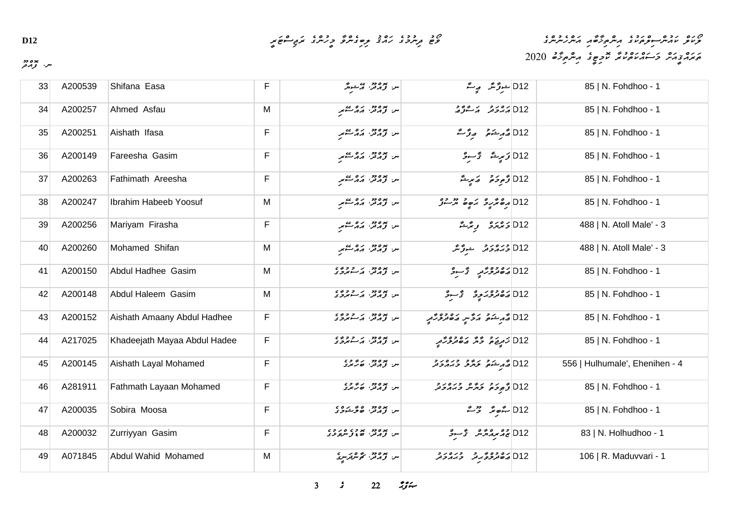*sCw7q7s5w7m< o<n9nOoAw7o< sCq;mAwBoEw7q<m; wBm;vB* م من المرة المرة المرة المرجع المرجع في المركبة 2020<br>مجم*د المريض المربوط المربع المرجع في المراجع المركبة* 

| 33 | A200539 | Shifana Easa                 | $\mathsf F$ | س محمد من المستورگر                           | D12  بے و <i>گٹر پہ</i> ے                                      | 85   N. Fohdhoo - 1            |
|----|---------|------------------------------|-------------|-----------------------------------------------|----------------------------------------------------------------|--------------------------------|
| 34 | A200257 | Ahmed Asfau                  | M           | س محمد ده ده ده کند.<br>س محمد در محمد شومر   | D12 كەبروتىر كەسىر <i>ھەر</i>                                  | 85   N. Fohdhoo - 1            |
| 35 | A200251 | Aishath Ifasa                | $\mathsf F$ | س محمد ده ده ده کند.                          | D12 مەم ھۇر                                                    | 85   N. Fohdhoo - 1            |
| 36 | A200149 | Fareesha Gasim               | F           | س بوه دو بره عصم                              | D12 كۆمپىقە گۆسى <i>ۋ</i>                                      | 85   N. Fohdhoo - 1            |
| 37 | A200263 | Fathimath Areesha            | $\mathsf F$ | س محمد ده ده ده کند.<br>س محمد محمد المحمد    | D12 تَ <i>وْجِ</i> وَةَ صَمِيشَةَ                              | 85   N. Fohdhoo - 1            |
| 38 | A200247 | Ibrahim Habeeb Yoosuf        | M           | س بوه ده بره عصم                              | D12 مەھگرى ئەھ مەسىر                                           | 85   N. Fohdhoo - 1            |
| 39 | A200256 | Mariyam Firasha              | F           | س محمد ده ده ده به سومبر                      | D12 <i>كَرْمَرْدْ وِبْدَ</i> ّةَ.                              | 488   N. Atoll Male' - 3       |
| 40 | A200260 | Mohamed Shifan               | M           | س بوه ده بره عصمر                             | D12 <i>5 جەمگە تەرگىل</i>                                      | 488   N. Atoll Male' - 3       |
| 41 | A200150 | Abdul Hadhee Gasim           | M           | س بوه ده بر دوه و                             | D12 <i>مَەھترى گەرىچ س</i> ور                                  | 85   N. Fohdhoo - 1            |
| 42 | A200148 | Abdul Haleem Gasim           | M           | بر دور در دور.<br>س ژونر، د سنوری             | D12 <sub>مَ</sub> مُعْ <i>دُوْبَر وِدْ</i> گَرْسِرْدُ          | 85   N. Fohdhoo - 1            |
| 43 | A200152 | Aishath Amaany Abdul Hadhee  | $\mathsf F$ | س تورود پر دوره                               | D12 مەم شەھ كەۋس كەھەر <i>ى مەرىب</i>                          | 85   N. Fohdhoo - 1            |
| 44 | A217025 | Khadeejath Mayaa Abdul Hadee | F           | بر دور در دور.<br>س ژونر، د سنوری             | D12 كَتِرِيعَ تَمَرَّ مُتَصَرِّرَ مِنْ مِنْ الْمَرْجَمَةِ بِهِ | 85   N. Fohdhoo - 1            |
| 45 | A200145 | Aishath Layal Mohamed        | $\mathsf F$ | س پوه ده رو ده.<br>س ژوند، ځرندن              | D12 مەم ئەم ئەرگە ئەرەر ئ                                      | 556   Hulhumale', Ehenihen - 4 |
| 46 | A281911 | Fathmath Layaan Mohamed      | $\mathsf F$ | بر بره در برو د د د<br>س ق مر برد             | D12 ز <sub>ۇج</sub> رە بەرەر دېرەر د                           | 85   N. Fohdhoo - 1            |
| 47 | A200035 | Sobira Moosa                 | F           | بر بره در مورده بر<br>بر زارتر، <i>ه</i> وشور | $23$ $-2012$                                                   | 85   N. Fohdhoo - 1            |
| 48 | A200032 | Zurriyyan Gasim              | $\mathsf F$ | بره دد برده دده<br>س ژمنر، صحر سروندی         | D12 <i>ج</i> <sup>8</sup> برم م محمد سمج ب                     | 83   N. Holhudhoo - 1          |
| 49 | A071845 | Abdul Wahid Mohamed          | M           | س محمده دو محمد محمد من                       | D12 كەھەترى <i>ۋە بەر 25 دەر د</i>                             | 106   R. Maduvvari - 1         |

**3** *s* **22** *z***<sub>***3i***</sub>**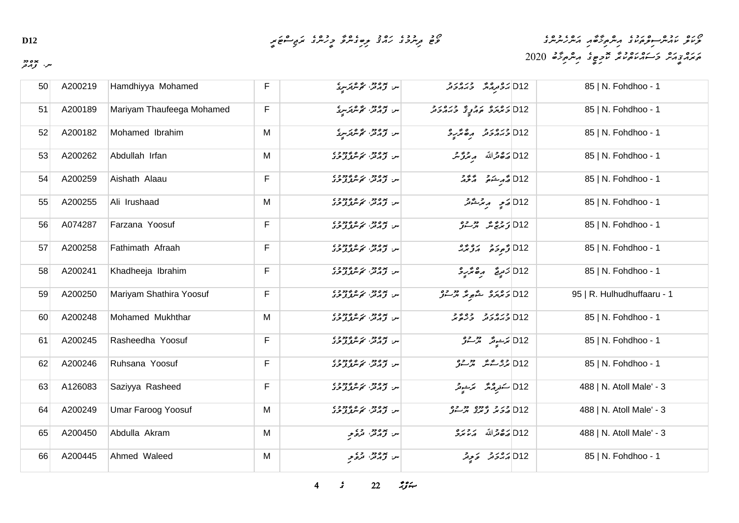*sCw7q7s5w7m< o<n9nOoAw7o< sCq;mAwBoEw7q<m; wBm;vB* م من المرة المرة المرة المرجع المرجع في المركبة 2020<br>مجم*د المريض المربوط المربع المرجع في المراجع المركبة* 

| 50 | A200219 | Hamdhiyya Mohamed         | $\mathsf{F}$ | س محمده دو محمد محمد من                                                                                        | D12 גۇمەمگە ئ <i>ەمەدىر</i>                | 85   N. Fohdhoo - 1        |
|----|---------|---------------------------|--------------|----------------------------------------------------------------------------------------------------------------|--------------------------------------------|----------------------------|
| 51 | A200189 | Mariyam Thaufeega Mohamed | F            | س محمده به محمد المرسمة                                                                                        | D12 <i>ביטריפ הרוקיב בהחבית</i>            | 85   N. Fohdhoo - 1        |
| 52 | A200182 | Mohamed Ibrahim           | M            | س محمده محمد المستعمر المستخدم المستخدم المستخدم المستخدم المستخدم المستخدم المستخدم المستخدم المستخدم المستخد | D12 <i>جُهُدُونَ م</i> ِهْتَرِدْ           | 85   N. Fohdhoo - 1        |
| 53 | A200262 | Abdullah Irfan            | M            | س بوه در مصدر ده.<br>س تومانس کوسترتر مرد                                                                      | D12 كەھىراللە م <i>ېغىۋىتر</i>             | 85   N. Fohdhoo - 1        |
| 54 | A200259 | Aishath Alaau             | $\mathsf F$  | یده دو.<br>س تو پرتش که سرتو بر دی                                                                             | D12 مەم ئىچە ئىچە                          | 85   N. Fohdhoo - 1        |
| 55 | A200255 | Ali Irushaad              | M            | س بیره در به روبر در در د                                                                                      | D12 <i>ھَ جِه م</i> ِیٹَ مِیٹَ مِٹر        | 85   N. Fohdhoo - 1        |
| 56 | A074287 | Farzana Yoosuf            | F            | سر دورد.<br>س ژونس کوسروژمری                                                                                   | D12 ئۈيمەنچە ئىر قريسىۋ                    | 85   N. Fohdhoo - 1        |
| 57 | A200258 | Fathimath Afraah          | F            | س بوه دو .<br>س تو پرس می سرو و د و د                                                                          | D12 تۇم <sub>ۇ</sub> خۇ مۇنتر <sup>و</sup> | 85   N. Fohdhoo - 1        |
| 58 | A200241 | Khadheeja Ibrahim         | F            | س بوه دو در ه ووو و د<br>س تو برس کمی سرتی تر مر                                                               | D12 كَتَعِيقٌ مِنْ صُمَّرِ وَ              | 85   N. Fohdhoo - 1        |
| 59 | A200250 | Mariyam Shathira Yoosuf   | F            | س بوه در مصدر ده.<br>س تومانس کوسترتر مرد                                                                      | D12 كەنگەر ئۇ ھەمگە مەسىرىق                | 95   R. Hulhudhuffaaru - 1 |
| 60 | A200248 | Mohamed Mukhthar          | M            | سر بره در پره پروره<br>س ترمانش کرسرتور در                                                                     | D12 <i>دره د وه وي</i>                     | 85   N. Fohdhoo - 1        |
| 61 | A200245 | Rasheedha Yoosuf          | $\mathsf F$  | سر سره در ه پروره<br>س تومتر، کوسرتوبر در                                                                      | D12 بَرَسُوِتَرُ گَرُسُوَرُ                | 85   N. Fohdhoo - 1        |
| 62 | A200246 | Ruhsana Yoosuf            | F            | س بیره در به روبر در در در باشد.<br>س تر برانس که سرو و مرد                                                    | D12 برزشهر پر <i>ج</i>                     | 85   N. Fohdhoo - 1        |
| 63 | A126083 | Saziyya Rasheed           | F            | یده دو.<br>س تو پرتش که سرتو بر دی                                                                             | D12 س <i>ے فرم مگر محر</i> حیوتر           | 488   N. Atoll Male' - 3   |
| 64 | A200249 | <b>Umar Faroog Yoosuf</b> | M            | س بوه دو.<br>س تو پرس کوسنگ تو شری                                                                             | D12 ړۍ وروه پورې                           | 488   N. Atoll Male' - 3   |
| 65 | A200450 | Abdulla Akram             | M            | س بوه ده وي د                                                                                                  | D12 مَەقراللە مَ <i>مام</i> ُر             | 488   N. Atoll Male' - 3   |
| 66 | A200445 | Ahmed Waleed              | M            | س توح <sup>ود وي</sup> و                                                                                       |                                            | 85   N. Fohdhoo - 1        |

*4 s* 22 *i*<sub>s</sub> $\approx$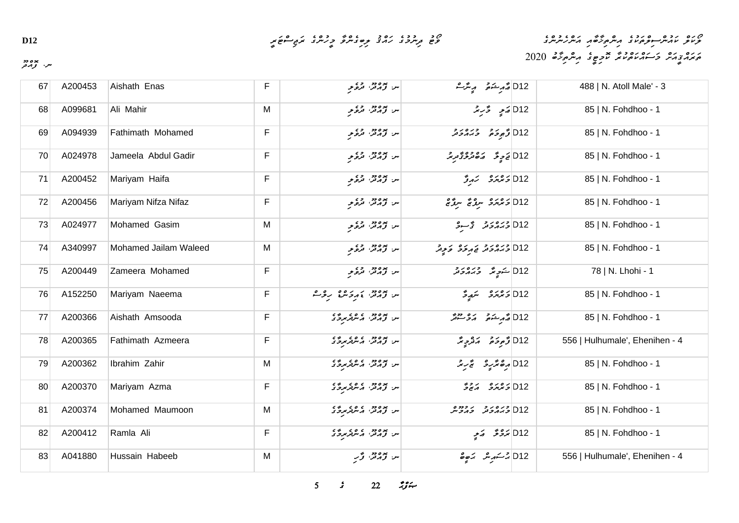*sCw7q7s5w7m< o<n9nOoAw7o< sCq;mAwBoEw7q<m; wBm;vB* م من المرة المرة المرة المرجع المرجع في المركبة 2020<br>مجم*د المريض المربوط المربع المرجع في المراجع المركبة* 

| 67 | A200453 | Aishath Enas          | $\mathsf F$ | س تورود وي<br>س تورين تروم             | D12 مۇمەشقىق بېرى <i>شى</i> شە                                 | 488   N. Atoll Male' - 3       |
|----|---------|-----------------------|-------------|----------------------------------------|----------------------------------------------------------------|--------------------------------|
| 68 | A099681 | Ali Mahir             | M           | س تورود وي                             | D12  ر <sub>َمح</sub> ِ وَرِيمَ                                | 85   N. Fohdhoo - 1            |
| 69 | A094939 | Fathimath Mohamed     | $\mathsf F$ | س تورود وي<br>س تورين تروم             | D12 تُرجوح حُمْدَ جُمْدَوَ مَدْ                                | 85   N. Fohdhoo - 1            |
| 70 | A024978 | Jameela Abdul Gadir   | $\mathsf F$ | س بوه دو وه<br>س توارتر، تروم          | D12 فَے <i>ج</i> ونَتْر مَصْرَ <i>ة وَ قَوْمِ</i> رْ مَرْ مَرْ | 85   N. Fohdhoo - 1            |
| 71 | A200452 | Mariyam Haifa         | $\mathsf F$ | س پوه ده ده د                          | D12 <i>چېرى ئەرق</i>                                           | 85   N. Fohdhoo - 1            |
| 72 | A200456 | Mariyam Nifza Nifaz   | $\mathsf F$ | س تورود وي<br>س تورين تروم             | D12 <i>كَمْ بَرْدَدْ</i> سِرْجٌ سِرَّجْ                        | 85   N. Fohdhoo - 1            |
| 73 | A024977 | Mohamed Gasim         | M           | س توح <sup>ود وي</sup> و               | D12 <i>\$ بەد جى ق-م</i> ۇ                                     | 85   N. Fohdhoo - 1            |
| 74 | A340997 | Mohamed Jailam Waleed | M           | س تورود وي<br>س تورين تروم             | D12 <i>وُيَرُودُو غَهِ وَوَ وَجِ</i> يْرَ                      | 85   N. Fohdhoo - 1            |
| 75 | A200449 | Zameera Mohamed       | $\mathsf F$ | س پوه ده ده د                          | D12 س <i>َجٍ بَرَّ دَيَ</i> مُ <i>دَوْ دَ</i>                  | 78   N. Lhohi - 1              |
| 76 | A152250 | Mariyam Naeema        | $\mathsf F$ | س پره ده عمرترن روے                    | D12 كەبە <i>بەد ئىمبە</i> گ                                    | 85   N. Fohdhoo - 1            |
| 77 | A200366 | Aishath Amsooda       | $\mathsf F$ | س پرورو ده ولا ده                      | D12 مۇم شەھ مەكەنىيەتىر                                        | 85   N. Fohdhoo - 1            |
| 78 | A200365 | Fathimath Azmeera     | F           | س پرورو ده ده ده                       | D12 ۇ <sub>م</sub> ورۇ مۇر <sub>ىچ</sub> ىگە                   | 556   Hulhumale', Ehenihen - 4 |
| 79 | A200362 | Ibrahim Zahir         | M           | س برودو ووو وي.<br>س ترمانس ماسربربردي | D12 م <i>وڭ مگرى</i> تىلى بىر ئىلى بىر                         | 85   N. Fohdhoo - 1            |
| 80 | A200370 | Mariyam Azma          | F           | س پروود ده وه ده                       | $550$ $2502$ $D12$                                             | 85   N. Fohdhoo - 1            |
| 81 | A200374 | Mohamed Maumoon       | M           | יתי צמבי המבנית בה                     | D12 <i>وبروبرد وم</i> ومبر                                     | 85   N. Fohdhoo - 1            |
| 82 | A200412 | Ramla Ali             | $\mathsf F$ | س پروود ده وه ده                       | D12 يَرْدُمَّ – مَ <sup>ح</sup> مٍ                             | 85   N. Fohdhoo - 1            |
| 83 | A041880 | Hussain Habeeb        | M           | س ژەنژ، ژَر                            | D12 برسكوبىش برَصِر <i>ة</i>                                   | 556   Hulhumale', Ehenihen - 4 |

 $5$   $\cancel{5}$   $22$   $\cancel{25}$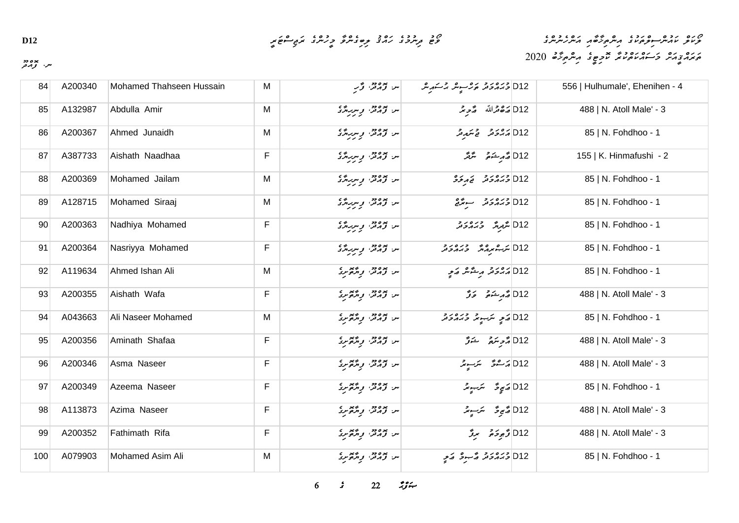*sCw7q7s5w7m< o<n9nOoAw7o< sCq;mAwBoEw7q<m; wBm;vB* م من المرة المرة المرة المرجع المرجع في المركبة 2020<br>مجم*د المريض المربوط المربع المرجع في المراجع المركبة* 

| 84  | A200340 | Mohamed Thahseen Hussain | M           | س پره در وير                       | D12  <i>3,2005. خۇس</i> وش برگىتمەيش        | 556   Hulhumale', Ehenihen - 4 |
|-----|---------|--------------------------|-------------|------------------------------------|---------------------------------------------|--------------------------------|
| 85  | A132987 | Abdulla Amir             | M           | س ومصر وسر ده                      | D12 <i>مَدَّة مَدْ</i> اللَّهُ مَدَّحِبَّرُ | 488   N. Atoll Male' - 3       |
| 86  | A200367 | Ahmed Junaidh            | M           | س بوه دو.<br>س تورند، توسید پرو    | D12 <i>ב بحقر في مكرم</i> تر                | 85   N. Fohdhoo - 1            |
| 87  | A387733 | Aishath Naadhaa          | F           | س بوه دو.<br>س تورند، توسید پرو    | D12 مەم ئىقىمە ئىقىدىكە                     | 155   K. Hinmafushi - 2        |
| 88  | A200369 | Mohamed Jailam           | M           | س وەدە پەرك                        | D12 <i>جُهُمُوَتَرُ - فَهِ بَوْتُ</i>       | 85   N. Fohdhoo - 1            |
| 89  | A128715 | Mohamed Siraaj           | M           | س وەدە پەرك                        | D12 <i>وُبَرُوْدَ تَرَ بِ بِرُّهْ</i>       | 85   N. Fohdhoo - 1            |
| 90  | A200363 | Nadhiya Mohamed          | F           | س وەدە وسرىرى                      | D12 بَرْبِرِيْرَ - وَبَرُودُورْ             | 85   N. Fohdhoo - 1            |
| 91  | A200364 | Nasriyya Mohamed         | $\mathsf F$ | س بوه دو.<br>س تورند، توسید پرو    | D12 ىربەمبەر <i>مەدە دە</i> ر               | 85   N. Fohdhoo - 1            |
| 92  | A119634 | Ahmed Ishan Ali          | M           | س بوه دو.<br>س ترمانس تومرموس      | D12 <i>גېرونه و</i> حقه <i>ډې</i>           | 85   N. Fohdhoo - 1            |
| 93  | A200355 | Aishath Wafa             | F           | س پره دو پر پر د                   | D12 مەم ئىقىمە ھۆ                           | 488   N. Atoll Male' - 3       |
| 94  | A043663 | Ali Naseer Mohamed       | M           | س بوه دو.<br>س ترمانس تومرموس      | D12  رَوِ سَرَسِيمٌ وَبَرَهُ وَلَا          | 85   N. Fohdhoo - 1            |
| 95  | A200356 | Aminath Shafaa           | F           | س بوه دو.<br>س ترمانس تومرموس      | D12 مُجِسَعُ شَرَّ                          | 488   N. Atoll Male' - 3       |
| 96  | A200346 | Asma Naseer              | $\mathsf F$ | س بوه دو.<br>س ترمانس تومرموس      | D12 كەشىرى سىرسىتىر                         | 488   N. Atoll Male' - 3       |
| 97  | A200349 | Azeema Naseer            | F           |                                    | D12 كەيپ <sup>ىق</sup> سىرسىتىر             | 85   N. Fohdhoo - 1            |
| 98  | A113873 | Azima Naseer             | F           | س بوه دو.<br>س تو ماند او مرجو سرد | D12 م <i>مَّ</i> ي ستَجَمَّد سَمَد مِيْر    | 488   N. Atoll Male' - 3       |
| 99  | A200352 | Fathimath Rifa           | F           | س بوه دو.<br>س تو ماند او مرجو سرد | D12 <i>وُڄوحَمَ</i> مِروَّ                  | 488   N. Atoll Male' - 3       |
| 100 | A079903 | Mohamed Asim Ali         | M           | س پره دو پر پر د                   | D12 <i>وُبَرُودو وُجِب</i> وڤ م <i>ُبو</i>  | 85   N. Fohdhoo - 1            |

 $6$   $\frac{1}{5}$   $22$   $\frac{1}{5}$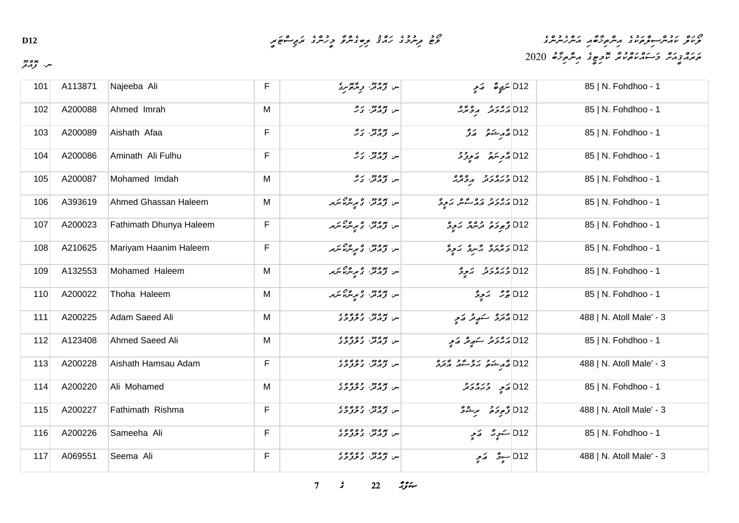*sCw7q7s5w7m< o<n9nOoAw7o< sCq;mAwBoEw7q<m; wBm;vB* م من المرة المرة المرة المرجع المرجع في المركبة 2020<br>مجم*د المريض المربوط المربع المرجع في المراجع المركبة* 

| 101 | A113871 | Najeeba Ali             | F            | س پره دو پر پر پا                          | D12 <i>سَمِعٍ ھُس</i> مَ پِر                   | 85   N. Fohdhoo - 1      |
|-----|---------|-------------------------|--------------|--------------------------------------------|------------------------------------------------|--------------------------|
| 102 | A200088 | Ahmed Imrah             | M            | س پی دور کرگ                               | D12 <i>مُدْدَوْرِ مِ</i> وْعُ <i>دْ</i>        | 85   N. Fohdhoo - 1      |
| 103 | A200089 | Aishath Afaa            | F            | س پی وجود کر مح                            | D12 مەم ئىقى ھەق                               | 85   N. Fohdhoo - 1      |
| 104 | A200086 | Aminath Ali Fulhu       | $\mathsf F$  | س پی ده در کار                             | D12 مَّ <i>جِسَمَةَ مَجِودْ قُ</i>             | 85   N. Fohdhoo - 1      |
| 105 | A200087 | Mohamed Imdah           | M            | س پوه دو.<br>س توه تر ک                    | D12 <i>جُہُوُونڈ م</i> ونڈی                    | 85   N. Fohdhoo - 1      |
| 106 | A393619 | Ahmed Ghassan Haleem    | $\mathsf{M}$ | س بیروده و وه شهر                          | D12 كەندى قىر كەر ئىربى                        | 85   N. Fohdhoo - 1      |
| 107 | A200023 | Fathimath Dhunya Haleem | F            | س بیره دو او وه مرید                       | D12 <i>وَّجِ دَهْ وَهُمَّ بَرْج</i> و <i>ْ</i> | 85   N. Fohdhoo - 1      |
| 108 | A210625 | Mariyam Haanim Haleem   | $\mathsf F$  | س برودد و روم شهر                          | D12 <i>وَ بُرْمَرْدْ بُ</i> ّسِرْدُ بَرَمْرِدْ | 85   N. Fohdhoo - 1      |
| 109 | A132553 | Mohamed Haleem          | M            | س برودد و برمانه شهر                       | D12 <i>\$ \$ \$ \$ \$ \$ \$ \$</i> \$ \$ \$    | 85   N. Fohdhoo - 1      |
| 110 | A200022 | Thoha Haleem            | M            | س برودد و روم شهر                          | D12 چُرَ – پَر <sub>ُ</sub> وِدُ               | 85   N. Fohdhoo - 1      |
| 111 | A200225 | Adam Saeed Ali          | M            | بر بره در ده ده ده<br>س ژمنز، د څرگر د د   | D12  مَرْتَرَةَ  سَمَدٍ ثَمَّ يَرْمِ           | 488   N. Atoll Male' - 3 |
| 112 | A123408 | Ahmed Saeed Ali         | M            | س بره ده ده ۶۵ و.<br>س تر دند کرنر تر د    | D12 كەبۇر قىر كەر كەر يەر <b>D12</b>           | 85   N. Fohdhoo - 1      |
| 113 | A200228 | Aishath Hamsau Adam     | $\mathsf{F}$ | س بوه ده وه ده ده<br>س ژمنز د ورود         | D12 مەم ئىق ئىق ئەرە                           | 488   N. Atoll Male' - 3 |
| 114 | A200220 | Ali Mohamed             | M            | یوه دو وه بوه د<br>س ترمانس کافروی         | D12  ر <i>أموالي ويمارون</i> تر                | 85   N. Fohdhoo - 1      |
| 115 | A200227 | Fathimath Rishma        | F            | بره ده ده ده ده<br>س ترمانس کامرتر د       | D12 <i>وُّمودَة</i> مِرْشَرَّ                  | 488   N. Atoll Male' - 3 |
| 116 | A200226 | Sameeha Ali             | F            | س بوه ده ده وه ده و.<br>س ترمانس و مرتوح د | D12 س <i>توپر م</i> َنوِ                       | 85   N. Fohdhoo - 1      |
| 117 | A069551 | Seema Ali               | F            | بر بره ده ده ده ده<br>س ترمنر، د مرتر د د  | D12 سومً – م <i>َ</i> حٍ                       | 488   N. Atoll Male' - 3 |

*7 sC 22 nNw?mS*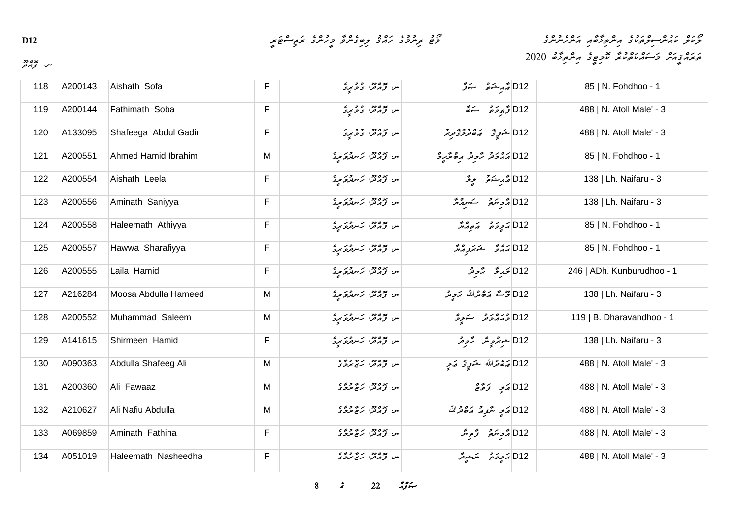*sCw7q7s5w7m< o<n9nOoAw7o< sCq;mAwBoEw7q<m; wBm;vB* م من المرة المرة المرة المرجع المرجع في المركبة 2020<br>مجم*د المريض المربوط المربع المرجع في المراجع المركبة* 

| 118 | A200143 | Aishath Sofa         | F            | یره دو دو د<br>س تر مرتبر کافر مرک        | D12 مەم ئىكەنى كىلىكىتىكى ئىكەنگە ئىكەنگە ئىكەنگە كەنتەك ئا | 85   N. Fohdhoo - 1        |
|-----|---------|----------------------|--------------|-------------------------------------------|-------------------------------------------------------------|----------------------------|
| 119 | A200144 | Fathimath Soba       | $\mathsf F$  | س پوه دو دو ه<br>س توارنتر، د څرمن        | D12 <i>وَّجِ حَقَّ</i> جَتَّ                                | 488   N. Atoll Male' - 3   |
| 120 | A133095 | Shafeega Abdul Gadir | $\mathsf F$  | س پوه دو دو د<br>س ژوندا د و برد          | D12 خَيْرٍ يَّةَ مَدَّ هُ مَرْحَرَّةً مِرْمَّرٍ.            | 488   N. Atoll Male' - 3   |
| 121 | A200551 | Ahmed Hamid Ibrahim  | M            | س محرور به رسور مرد                       | D12 كەندى قىرىق مەھەردى 2                                   | 85   N. Fohdhoo - 1        |
| 122 | A200554 | Aishath Leela        | F            | س موضعی کرسور در د                        | D12 مَّەمِشَمَّ مِعَّ                                       | 138   Lh. Naifaru - 3      |
| 123 | A200556 | Aminath Saniyya      | $\mathsf F$  | س بیره دو که سرچر برای                    | D12 مَّ حِسَمَة مُسْتَمَسَّدَ مَّهُ الْمَسْتَمَسَّد         | 138   Lh. Naifaru - 3      |
| 124 | A200558 | Haleemath Athiyya    | $\mathsf F$  | س بیره دو که سرچر دی                      | D12 بَرْجِرَة مَ مَ <i>مِ</i> مْتَرُ                        | 85   N. Fohdhoo - 1        |
| 125 | A200557 | Hawwa Sharafiyya     | $\mathsf F$  | س بیره دو که سرچر برای                    | D12 <i>بَدْهُمَّ</i> سُن <i>مَوَدِهْ بَنَّ</i>              | 85   N. Fohdhoo - 1        |
| 126 | A200555 | Laila Hamid          | $\mathsf F$  | س محمد و در سرچر در د                     | D12 كَرْمِرْدَ      بَرْدِيْرُ                              | 246   ADh. Kunburudhoo - 1 |
| 127 | A216284 | Moosa Abdulla Hameed | M            | س بوه دو.<br>س ترمانش، کاسهگرها مرد       | D12 تُرْتَّمْ مَدْهْمْراللَّهُ بَرَوِيْر                    | 138   Lh. Naifaru - 3      |
| 128 | A200552 | Muhammad Saleem      | M            | س بیره دو که سرچران                       | D12 <i>\$222 سَنْوِ</i> دْ                                  | 119   B. Dharavandhoo - 1  |
| 129 | A141615 | Shirmeen Hamid       | $\mathsf{F}$ | س بیره دو که سرچران                       | D12  سىرتمرىپە محمرىقر                                      | 138   Lh. Naifaru - 3      |
| 130 | A090363 | Abdulla Shafeeg Ali  | M            | س بوه دو برنو ونو ۽<br>س تواريخي برخ بوري | D12 كەھ قىراللە خەمرى <sup>ت</sup> ى كەم                    | 488   N. Atoll Male' - 3   |
| 131 | A200360 | Ali Fawaaz           | M            | بره دو. برنو ونو ع<br>س قرارتن برنج بروی  | D12 كەير   ترگەنج                                           | 488   N. Atoll Male' - 3   |
| 132 | A210627 | Ali Nafiu Abdulla    | M            | س محوود برنو دنو د<br>س توارد برنام مرحزی | D12 ضَعٍ سَمَعِ <sub>ر</sub> ضٌ صَصْحَراللَّه               | 488   N. Atoll Male' - 3   |
| 133 | A069859 | Aminath Fathina      | $\mathsf F$  | س محوود برنو دنو د<br>س توارد برنام مرحزی | D12 مَّ <i>جِسَمَ</i> قَصِيَّر                              | 488   N. Atoll Male' - 3   |
| 134 | A051019 | Haleemath Nasheedha  | F            | س مورود ريوده ده.<br>س ترورس ريخ مرد د    | D12  يَرْجِرَةُ مِنْ سَرْشِيشَ                              | 488   N. Atoll Male' - 3   |

**8** *s* **22** *z***<sub>***3i***</sub>**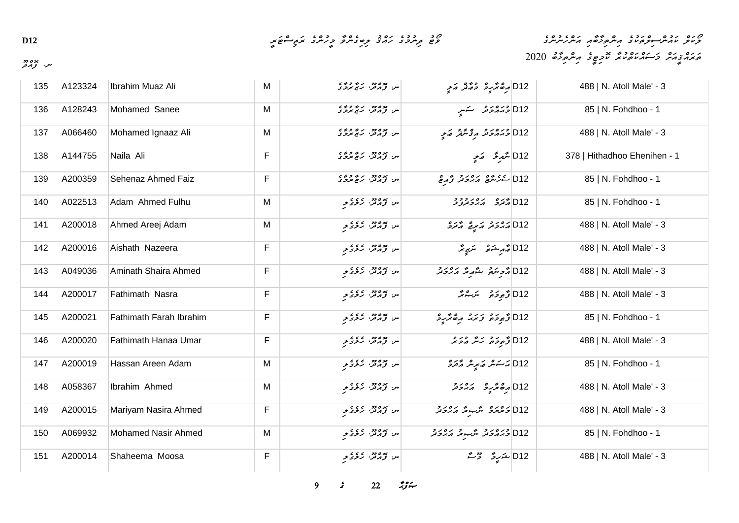*sCw7q7s5w7m< o<n9nOoAw7o< sCq;mAwBoEw7q<m; wBm;vB* م من المرة المرة المرة المرجع المرجع في المركبة 2020<br>مجم*د المريض المربوط المربع المرجع في المراجع المركبة* 

| 135 | A123324 | Ibrahim Muaz Ali           | M           | س مورد رو ده د                             | D12 مەھزىرى بەھ ئەير                              | 488   N. Atoll Male' - 3     |
|-----|---------|----------------------------|-------------|--------------------------------------------|---------------------------------------------------|------------------------------|
| 136 | A128243 | Mohamed Sanee              | M           | س موه ده ده وه و                           | D12  <i>32,35تر سک</i> یر                         | 85   N. Fohdhoo - 1          |
| 137 | A066460 | Mohamed Ignaaz Ali         | M           | س بوه ده د د وه و.<br>س تر دون کنج برو و   | D12  <i>32.625 و</i> 3 يُتمة كم ترج               | 488   N. Atoll Male' - 3     |
| 138 | A144755 | Naila Ali                  | $\mathsf F$ | س بوه دو برنو ونو ع<br>س قرارتن برنج بروی  | D12 مَّدِءٌ     رَمِ                              | 378   Hithadhoo Ehenihen - 1 |
| 139 | A200359 | Sehenaz Ahmed Faiz         | $\mathsf F$ | یوه دو برنو ونو د<br>س تو مدتر کرنج بحرو ی | D12 كەن ئەمەد ئەرق                                | 85   N. Fohdhoo - 1          |
| 140 | A022513 | Adam Ahmed Fulhu           | M           | س نومان روء کا                             | D12 پژنزه پرېژنونو                                | 85   N. Fohdhoo - 1          |
| 141 | A200018 | Ahmed Areej Adam           | M           | س پوه ده ده ده د                           | D12 <i>בک</i> وکو کر <sub>ا</sub> پره گروگر       | 488   N. Atoll Male' - 3     |
| 142 | A200016 | Aishath Nazeera            | F           | س پوه ده د د د و                           | D12 مۇمەيسىمۇ سىرىمىگە                            | 488   N. Atoll Male' - 3     |
| 143 | A049036 | Aminath Shaira Ahmed       | F           | س نومانو، روء ۽                            | D12 مَّ <i>جِسَمَةَ</i> حَقي <i>ةَ مَ</i> حْدَثَر | 488   N. Atoll Male' - 3     |
| 144 | A200017 | Fathimath Nasra            | F           | س پوه ده د د د و                           | D12 <i>وَّجِوحَ</i> هُمَ سَرَسْهُ مَدَّ           | 488   N. Atoll Male' - 3     |
| 145 | A200021 | Fathimath Farah Ibrahim    | $\mathsf F$ | س پوه ده د د د و                           | D12 زَّەپ ئە ئەتدە بەھ تَدْرِ 3                   | 85   N. Fohdhoo - 1          |
| 146 | A200020 | Fathimath Hanaa Umar       | $\mathsf F$ | س ومصر ووء<br>س ومصر رودنو                 | D12 <i>وُّج دَمَّة مُدَمَّة مُ</i>                | 488   N. Atoll Male' - 3     |
| 147 | A200019 | Hassan Areen Adam          | M           | س محمد عمام و دي.<br>س محمد مرکزي م        | D12 ټر <i>ټکسر ټرینگ پر پو</i> رو                 | 85   N. Fohdhoo - 1          |
| 148 | A058367 | Ibrahim Ahmed              | M           | س ومصر ووء<br>س ومصر رودنو                 | D12 مەھەمگەر قىمە ئەردىتى                         | 488   N. Atoll Male' - 3     |
| 149 | A200015 | Mariyam Nasira Ahmed       | $\mathsf F$ | س پوه ده ده ده کال                         | D12 <i>كەنگەڭ مەيدە كەنگە</i> ت                   | 488   N. Atoll Male' - 3     |
| 150 | A069932 | <b>Mohamed Nasir Ahmed</b> | M           | س محمد و و و و و د                         | D12 <i>وبرو دی سگ به مرور د</i>                   | 85   N. Fohdhoo - 1          |
| 151 | A200014 | Shaheema Moosa             | F           | س پوه دو.<br>س پوه تر گروگر                | D12 ڪرير قريب                                     | 488   N. Atoll Male' - 3     |

*9 s* 22  $29$  *n*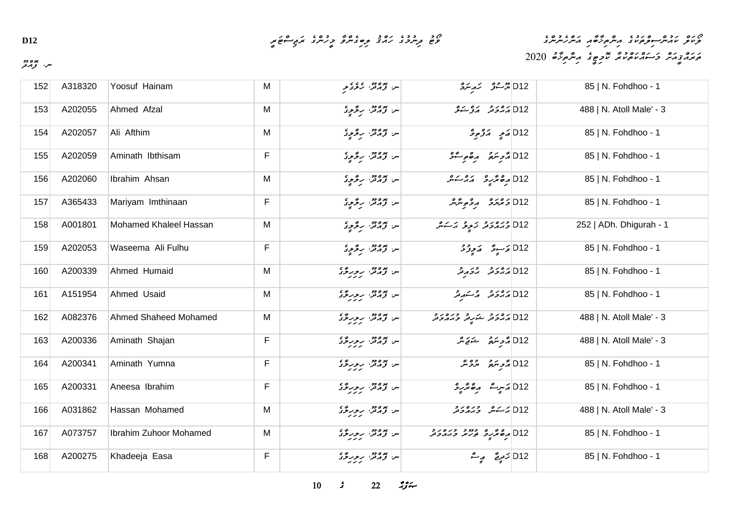*sCw7q7s5w7m< o<n9nOoAw7o< sCq;mAwBoEw7q<m; wBm;vB* م من المرة المرة المرة المرجع المرجع في المركبة 2020<br>مجم*د المريض المربوط المربع المرجع في المراجع المركبة* 

| 152 | A318320 | Yoosuf Hainam                | M            | س پوه دو. د د د و                   | D12 برگترو سر ترم برگ                  | 85   N. Fohdhoo - 1      |
|-----|---------|------------------------------|--------------|-------------------------------------|----------------------------------------|--------------------------|
| 153 | A202055 | Ahmed Afzal                  | M            | س تۇرقۇ، بەقۇرى                     | D12 كەبرى كەر كەن ئىكى                 | 488   N. Atoll Male' - 3 |
| 154 | A202057 | Ali Afthim                   | M            | س زەق بۇيۇ                          | D12 <i>ڇَيِ پَرُوُوِيُ</i>             | 85   N. Fohdhoo - 1      |
| 155 | A202059 | Aminath Ibthisam             | F            | س زەنق بەئۇر                        | D12 مُجِسَمَۃُ مِنصَّوِسَّعْ           | 85   N. Fohdhoo - 1      |
| 156 | A202060 | Ibrahim Ahsan                | M            | س ۋەقق بەۋرى                        | D12 <sub>م</sub> ەنگەر قىمى ئەسىر      | 85   N. Fohdhoo - 1      |
| 157 | A365433 | Mariyam Imthinaan            | $\mathsf{F}$ | س تۆۋش رۇپۇ                         | D12 <i>كەنگەر قەرەپەتگەر</i>           | 85   N. Fohdhoo - 1      |
| 158 | A001801 | Mohamed Khaleel Hassan       | M            | س پروژ، رگروی                       | D12 <i>وُبَەم</i> ُ دَرَمٍ وَ بَرَسَسٌ | 252   ADh. Dhigurah - 1  |
| 159 | A202053 | Waseema Ali Fulhu            | $\mathsf F$  | س پره چې رگړي                       | D12 تۈسەنى ھە <i>م</i> وۋى             | 85   N. Fohdhoo - 1      |
| 160 | A200339 | Ahmed Humaid                 | M            | س پره در سورگری                     | D12 <i>مُدْوَمْہ بِرُوَمِ</i> مْہ      | 85   N. Fohdhoo - 1      |
| 161 | A151954 | Ahmed Usaid                  | M            | س تورود ریوروی                      | D12 كەبرى قىلى مەسىر بىر               | 85   N. Fohdhoo - 1      |
| 162 | A082376 | <b>Ahmed Shaheed Mohamed</b> | M            | س پره در سورگری                     | D12 كەبۇبۇقر خەرمەد <i>بەدە</i> تر     | 488   N. Atoll Male' - 3 |
| 163 | A200336 | Aminath Shajan               | F            | بين وەدەر سورىۋى                    | D12 مَرْحِ سَمَعَ مَدَى سَمَّة مِنْ    | 488   N. Atoll Male' - 3 |
| 164 | A200341 | Aminath Yumna                | $\mathsf F$  | س پوه ده رپورنژه                    | D12 أ <i>مَّ حِيسَهُ مَرْحَ</i> مَثَّر | 85   N. Fohdhoo - 1      |
| 165 | A200331 | Aneesa Ibrahim               | $\mathsf F$  | س تورود رورۇئى<br>  س تورىئى رورۇئى | D12 كەسرىسە مەھەر دىنىچە               | 85   N. Fohdhoo - 1      |
| 166 | A031862 | Hassan Mohamed               | M            | س پوه ده.<br>س ژوند، روروی          | D12 ئەسەبىر بەير ئەرەبىر               | 488   N. Atoll Male' - 3 |
| 167 | A073757 | Ibrahim Zuhoor Mohamed       | M            | س پوه ده روروی                      | D12 مەھەرىپە ئەمەدە دىرەرد             | 85   N. Fohdhoo - 1      |
| 168 | A200275 | Khadeeja Easa                | F            | س پی دور در پی                      | D12 کرمیتج ۔ م <sub>ی</sub> ستم        | 85   N. Fohdhoo - 1      |

 $10$  *s*  $22$  *n***<sub>s</sub>**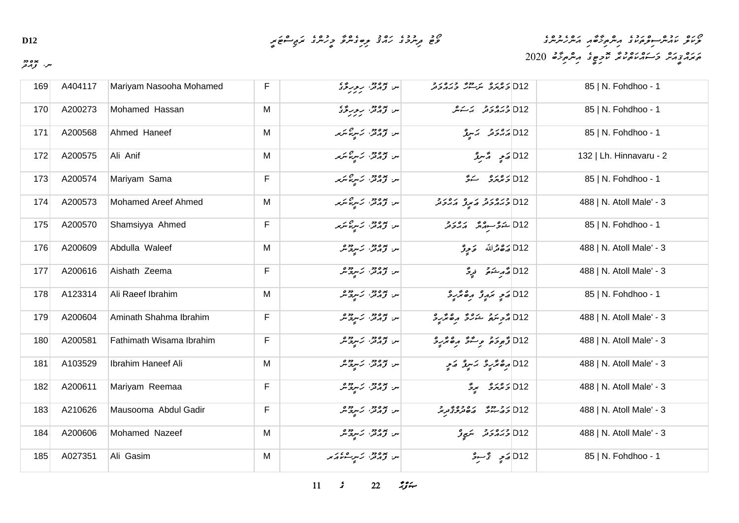*sCw7q7s5w7m< o<n9nOoAw7o< sCq;mAwBoEw7q<m; wBm;vB* م من المرة المرة المرة المرجع المرجع في المركبة 2020<br>مجم*د المريض المربوط المربع المرجع في المراجع المركبة* 

| 169 | A404117 | Mariyam Nasooha Mohamed    | F            | س وەص رورۇئى                                       | D12  52 <i>,000 سُرْحَيْرٌ</i> 52,000 م                      | 85   N. Fohdhoo - 1      |
|-----|---------|----------------------------|--------------|----------------------------------------------------|--------------------------------------------------------------|--------------------------|
| 170 | A200273 | Mohamed Hassan             | M            | س وەدە رورۇئى                                      | D12 <i>ۋېزەد قىلى ئەسەنل</i>                                 | 85   N. Fohdhoo - 1      |
| 171 | A200568 | Ahmed Haneef               | M            | س بیره دو که سره شهر                               | D12 كەنزى كى بەر كەرىپ كەنزىلگە                              | 85   N. Fohdhoo - 1      |
| 172 | A200575 | Ali Anif                   | M            | س بیره دو که سره شهر                               | D12 <i>ڇَجِ پڙسي</i> ڙ                                       | 132   Lh. Hinnavaru - 2  |
| 173 | A200574 | Mariyam Sama               | F            | س بیره دو که سره شهر                               | $5 - 5.25$ D12                                               | 85   N. Fohdhoo - 1      |
| 174 | A200573 | <b>Mohamed Areef Ahmed</b> | M            | اس محمد من كامرة مكرس                              | D12 <i>3222 كمبرق مك</i> ورو                                 | 488   N. Atoll Male' - 3 |
| 175 | A200570 | Shamsiyya Ahmed            | $\mathsf{F}$ | س محمدہ بین کا اس کا کھیل کر بھی اس کا اس کے بعد ا | D12 شۇسە <i>مەش مەدە</i> م                                   | 85   N. Fohdhoo - 1      |
| 176 | A200609 | Abdulla Waleef             | M            | س بیره دو را دوره و                                | D12 مَەھىراللە   مَ مِوتْر                                   | 488   N. Atoll Male' - 3 |
| 177 | A200616 | Aishath Zeema              | F            | س ومصر کسرومر                                      |                                                              | 488   N. Atoll Male' - 3 |
| 178 | A123314 | Ali Raeef Ibrahim          | M            | س پره دو رو ده و                                   | D12 <i>ڇَجِ بَرَ<sub>م</sub>ِ</i> وْ <sub>مُ</sub> ڻُ بُرُوْ | 85   N. Fohdhoo - 1      |
| 179 | A200604 | Aminath Shahma Ibrahim     | F            | س ومصر رسور                                        | D12 مَّ جِسَمَةَ شَرْكَةَ مِنْ مَّرْبِةَ ۖ                   | 488   N. Atoll Male' - 3 |
| 180 | A200581 | Fathimath Wisama Ibrahim   | F            | س بوه دو.<br>س تورفر، کسرچاس                       | D12 زَّەپرىق مِ سَنَّرَّ مِىھَ ئَرْبِرْ                      | 488   N. Atoll Male' - 3 |
| 181 | A103529 | <b>Ibrahim Haneef Ali</b>  | M            | س بوه دو بر دوه.                                   | D12  مِن <i>ھُنَّرِدِ</i> \$سِيْدٌ \$مِ                      | 488   N. Atoll Male' - 3 |
| 182 | A200611 | Mariyam Reemaa             | F            | س ومصر کسرومر                                      | D12 <i>ق پردگان</i> مرگ                                      | 488   N. Atoll Male' - 3 |
| 183 | A210626 | Mausooma Abdul Gadir       | $\mathsf F$  | س بوه دو.<br>س تورفر، کسرچاس                       | D12 <i>خەششۇ مەھەرى قىرى</i> ر                               | 488   N. Atoll Male' - 3 |
| 184 | A200606 | Mohamed Nazeef             | M            | س ومصر کسرومر                                      | D12 <i>ۋېزو دىتى</i> ئىنىي تى                                | 488   N. Atoll Male' - 3 |
| 185 | A027351 | Ali Gasim                  | M            | س پی وو در کامرے کا م                              | D12  رَمِ تَوْسِرْحُ                                         | 85   N. Fohdhoo - 1      |

 $11$  *s*  $22$  *i*<sub>s</sub>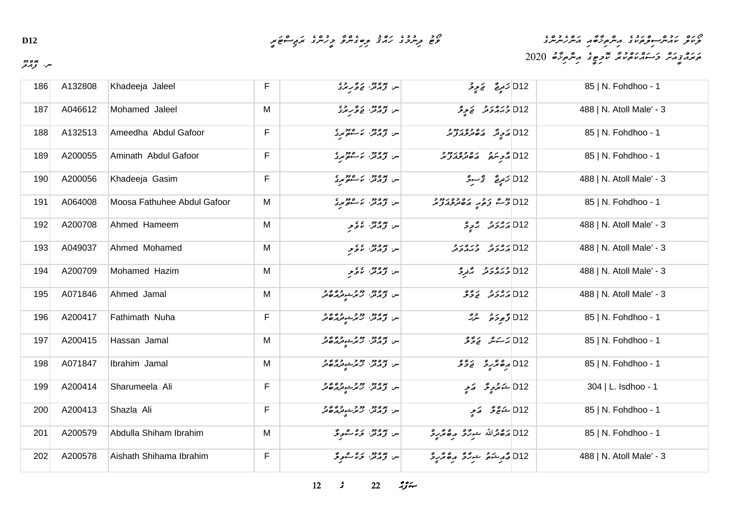*sCw7q7s5w7m< o<n9nOoAw7o< sCq;mAwBoEw7q<m; wBm;vB* م من المرة المرة المرة المرجع المرجع في المركبة 2020<br>مجم*د المريض المربوط المربع المرجع في المراجع المركبة* 

| 186 | A132808 | Khadeeja Jaleel             | $\mathsf F$ | س بوه دو برنو د د .<br>س ژوند، نے تو برند            | D12  تزمرتج = تح م <sub>ج</sub> وتحر                         | 85   N. Fohdhoo - 1      |
|-----|---------|-----------------------------|-------------|------------------------------------------------------|--------------------------------------------------------------|--------------------------|
| 187 | A046612 | Mohamed Jaleel              | M           | س تورود کے گرمزی                                     | D12 <i>\$نەچى ق</i> ور                                       | 488   N. Atoll Male' - 3 |
| 188 | A132513 | Ameedha Abdul Gafoor        | F           | س موجود ر ودد د<br>س تورد س سوم مرد                  | D12 <i>مَرْحِدَّة مُ</i> 9مَعْرَ <i>وْرُوْسُ</i> رَ          | 85   N. Fohdhoo - 1      |
| 189 | A200055 | Aminath Abdul Gafoor        | F           | س موجود رحود دي.<br>س قرار تر، ساحتي مرد             | D12 گەچە سىم ھەم ئەدەم بور                                   | 85   N. Fohdhoo - 1      |
| 190 | A200056 | Khadeeja Gasim              | F           | س مورد در ۶۶۵<br>س قرار تر، با سوم مرد               | D12 كَتْمِيعٌ - تَوْسِرْدُ -                                 | 488   N. Atoll Male' - 3 |
| 191 | A064008 | Moosa Fathuhee Abdul Gafoor | M           | س موجود بر حدد دي.<br>س توجري با سوم مرد             | D12 تر مشروع به مصر در در در د                               | 85   N. Fohdhoo - 1      |
| 192 | A200708 | Ahmed Hameem                | M           | س پوه دو ده ده و                                     | D12 <i>كەنگەنىڭ بائچ</i> ى                                   | 488   N. Atoll Male' - 3 |
| 193 | A049037 | Ahmed Mohamed               | M           | س پوه دوه ده ده و                                    | D12 كەبرو مەكرەتر                                            | 488   N. Atoll Male' - 3 |
| 194 | A200709 | Mohamed Hazim               | M           | س پره ده ده و                                        | D12 <i>\$ پُرُمُ وَ مُدْ بِرُوْ \$</i>                       | 488   N. Atoll Male' - 3 |
| 195 | A071846 | Ahmed Jamal                 | M           | بره ده دو دو دوه وده د<br>س و ماس کامر شومره مر      |                                                              | 488   N. Atoll Male' - 3 |
| 196 | A200417 | Fathimath Nuha              | $\mathsf F$ | بره دو دو دو ده ودود.<br>س ژاپرنس نربر شونزار ه نر   | D12 <i>وُّجوح</i> ق مَ <i>مَدُّ</i>                          | 85   N. Fohdhoo - 1      |
| 197 | A200415 | Hassan Jamal                | M           | بر ده دو دو در دره در<br>س و ماند کرمر شونزمان تر    | D12 پرسترس ق <sub>ە</sub> ۋى                                 | 85   N. Fohdhoo - 1      |
| 198 | A071847 | Ibrahim Jamal               | M           | بره ده دو دو دوه وده د<br>س و ماس کامر شومره مر      | D12 <sub>مر</sub> ھ پڻ <sub>پو</sub> و تح                    | 85   N. Fohdhoo - 1      |
| 199 | A200414 | Sharumeela Ali              | F           | س بوه دو بود و و د د و د<br>س تو مانس گاهر شوندمان ن | D12 ڪنر <i>چ</i> و کي په                                     | 304   L. Isdhoo - 1      |
| 200 | A200413 | Shazla Ali                  | F           | بر ده دو دو در دوره د<br>س ژبرتر، زیر شوتربر ۱۵ تر   | D12 خەنچ قە كەر                                              | 85   N. Fohdhoo - 1      |
| 201 | A200579 | Abdulla Shiham Ibrahim      | M           | س پرەيو، برە مەھرىگە                                 | D12 مَرْحَمْدَاللّه حَدِثَرْ مِرْحَمْدِيْرْ                  | 85   N. Fohdhoo - 1      |
| 202 | A200578 | Aishath Shihama Ibrahim     | F           | س پەەدە رەھ ھۇ                                       | D12 مەم ئىكىم ئىلىرى بىر ئىلىرى ئىلىرى بىر ئىلىرى ئىلىرى ئىل | 488   N. Atoll Male' - 3 |

 $12$  *s*  $22$  *n***<sub>s</sub>**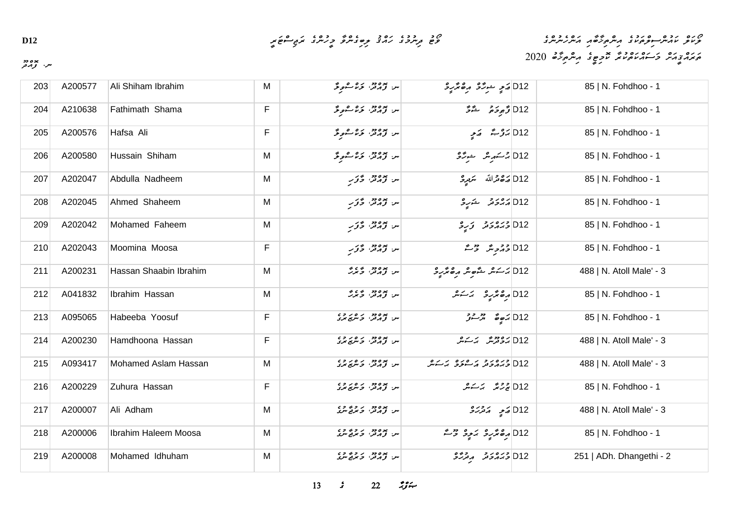*sCw7q7s5w7m< o<n9nOoAw7o< sCq;mAwBoEw7q<m; wBm;vB* م من المرة المرة المرة المرجع المرجع في المركبة 2020<br>مجم*د المريض المربوط المربع المرجع في المراجع المركبة* 

| 203 | A200577 | Ali Shiham Ibrahim     | M            | س پره دو ده شونگ                               | D12  رَمِ حرَّدَ العَامَّرِةِ                    | 85   N. Fohdhoo - 1      |
|-----|---------|------------------------|--------------|------------------------------------------------|--------------------------------------------------|--------------------------|
| 204 | A210638 | Fathimath Shama        | F            | س پرەدە برە ھەرتى                              | D12 <i>وُجوحَمْ</i> شَرَحَّ                      | 85   N. Fohdhoo - 1      |
| 205 | A200576 | Hafsa Ali              | F            | س پره دو ره صوڅ                                | D12 كەبىجە مەمىيە                                | 85   N. Fohdhoo - 1      |
| 206 | A200580 | Hussain Shiham         | M            | س پرەدە بەھ ھونگە                              | D12 پرڪ <i>ير بند جو شو</i> گر                   | 85   N. Fohdhoo - 1      |
| 207 | A202047 | Abdulla Nadheem        | M            | س پره ده وړ ک                                  | D12 مَەڤْتَراللە سَرَمْرِدْ                      | 85   N. Fohdhoo - 1      |
| 208 | A202045 | Ahmed Shaheem          | M            | س پیروژه څوک                                   | D12 <i>مَدْدَة حَدِدْ</i>                        | 85   N. Fohdhoo - 1      |
| 209 | A202042 | Mohamed Faheem         | M            | س تۇمەنتى ئەتىب                                | D12  <i>32,322 ق</i> رب <sup>9</sup>             | 85   N. Fohdhoo - 1      |
| 210 | A202043 | Moomina Moosa          | $\mathsf{F}$ | س پره ده څوک                                   | D12 دېمرمگر د حق                                 | 85   N. Fohdhoo - 1      |
| 211 | A200231 | Hassan Shaabin Ibrahim | M            | س پره دو. په پار                               | D12 ئەسەش ھ <sup>ى</sup> ھەش مەھە <i>تگەي</i> گە | 488   N. Atoll Male' - 3 |
| 212 | A041832 | Ibrahim Hassan         | M            | س پره دو. په په                                | D12  مەھ <i>مگرى</i> جەنئىس                      | 85   N. Fohdhoo - 1      |
| 213 | A095065 | Habeeba Yoosuf         | $\mathsf F$  | س بوه دو د کرد و د                             | D12 يُرْحَقُ مَرْسُورُ                           | 85   N. Fohdhoo - 1      |
| 214 | A200230 | Hamdhoona Hassan       | F            | س محوود بروبر ده.<br>س تورنس کوشی مرد          | D12 پروژش پرسکر                                  | 488   N. Atoll Male' - 3 |
| 215 | A093417 | Mohamed Aslam Hassan   | M            | س بیره در مرد د ،                              | D12 ويرورو كەشكى ئەسكىل                          | 488   N. Atoll Male' - 3 |
| 216 | A200229 | Zuhura Hassan          | F            | س پره دو.<br>س ترمانش، څاسي مرد                | D12 يوجيھ پر <i>سک</i> ھر                        | 85   N. Fohdhoo - 1      |
| 217 | A200007 | Ali Adham              | M            | יני "צמכה ו די די ה".<br>יני "צמבה" ביזהם יינג | D12  كەير كەن <i>دى</i> گ                        | 488   N. Atoll Male' - 3 |
| 218 | A200006 | Ibrahim Haleem Moosa   | M            | س بوه دو بر و ده و ع<br>س تو پرس د برخ سر      | D12 <sub>م</sub> ەنگەر تكوڭ ق <sup>مم</sup>      | 85   N. Fohdhoo - 1      |
| 219 | A200008 | Mohamed Idhuham        | M            | س بوه دو بروه و ،<br>س تو پرس د برخ سر         | D12  <i>32,352 بەنزگ</i> ۇ                       | 251   ADh. Dhangethi - 2 |

 $13$  *s*  $22$  *n***<sub>s</sub>**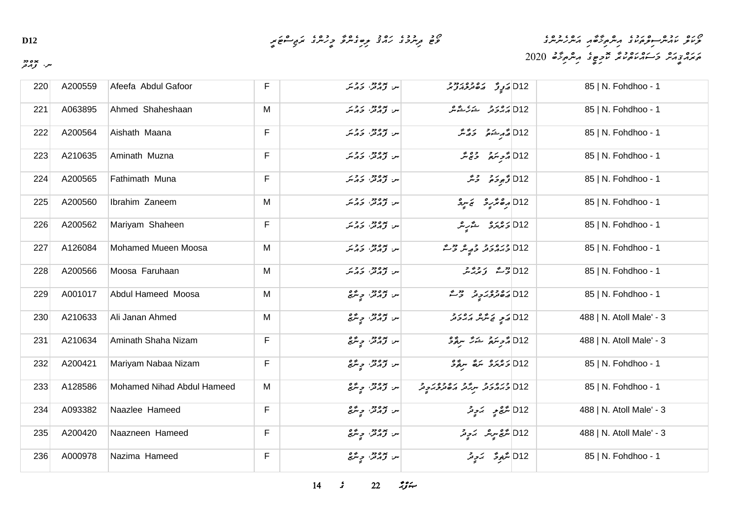*sCw7q7s5w7m< o<n9nOoAw7o< sCq;mAwBoEw7q<m; wBm;vB* م من المرة المرة المرة المرجع المرجع في المركبة 2020<br>مجم*د المريض المربوط المربع المرجع في المراجع المركبة* 

| 220 | A200559 | Afeefa Abdul Gafoor        | F           | س پوه ده رحمه   | D12 <i>ړو د ه</i> ومروز پر                               | 85   N. Fohdhoo - 1      |
|-----|---------|----------------------------|-------------|-----------------|----------------------------------------------------------|--------------------------|
| 221 | A063895 | Ahmed Shaheshaan           | M           | س پوه ده روبر   | D12 كەبرى ئەر ئىش ئەنگەنلەر D12                          | 85   N. Fohdhoo - 1      |
| 222 | A200564 | Aishath Maana              | F           | س پره ده رخ ک   | D12 مَّ مِسْمَعْ حَمَّةٌ مَّ                             | 85   N. Fohdhoo - 1      |
| 223 | A210635 | Aminath Muzna              | F           | س پوه ده رحمه   | D12 مٌ <i>جِينَهُ جَيْءَ مُ</i>                          | 85   N. Fohdhoo - 1      |
| 224 | A200565 | Fathimath Muna             | $\mathsf F$ | س پوه ده رحمه   | D12 <i>وُجِ دَيْرَ</i> حَيْرَ                            | 85   N. Fohdhoo - 1      |
| 225 | A200560 | Ibrahim Zaneem             | M           | س پره ده رخ ک   | D12 م <i>وڭ تۈرى ت</i> ى بېرى                            | 85   N. Fohdhoo - 1      |
| 226 | A200562 | Mariyam Shaheen            | $\mathsf F$ | س پوه ده رحمه   | D12 <i>وَ بُرْدَةْ</i> _ شَرِسْ _                        | 85   N. Fohdhoo - 1      |
| 227 | A126084 | Mohamed Mueen Moosa        | M           | س پوه ده رحمه   | D12 <i>ڈیزونو ڈی</i> ٹر ڈے                               | 85   N. Fohdhoo - 1      |
| 228 | A200566 | Moosa Faruhaan             | M           | س پوه ده رحمه   | D12 تۈنە ئەيزىمەتتە                                      | 85   N. Fohdhoo - 1      |
| 229 | A001017 | Abdul Hameed Moosa         | M           | س پروژه چرمگی   | D12 كەھەر بۇرى ق <sup>ەم</sup> گە                        | 85   N. Fohdhoo - 1      |
| 230 | A210633 | Ali Janan Ahmed            | M           | س پرووډ، چرنگنج | D12 كەبىي بى ئۇنىڭ كەبر <i>ە د</i> ىر                    | 488   N. Atoll Male' - 3 |
| 231 | A210634 | Aminath Shaha Nizam        | F           | س تورور و شرچ   | D12 مَّ حِ سَمَّى حَدَثَ سِمَّةً وَ                      | 488   N. Atoll Male' - 3 |
| 232 | A200421 | Mariyam Nabaa Nizam        | $\mathsf F$ | س پره ده پر شي  | D12 <i>وَبُرْدَدْ سَهَّ سِهْ</i> رُ                      | 85   N. Fohdhoo - 1      |
| 233 | A128586 | Mohamed Nihad Abdul Hameed | M           | س پره در پرچ    | D12 <i>دره د د</i> سرگتر مەمدى د د                       | 85   N. Fohdhoo - 1      |
| 234 | A093382 | Naazlee Hameed             | $\mathsf F$ | س پرووډ، چرنگنج | D12 بڻھ <i>۾ ب</i> کوپٽر                                 | 488   N. Atoll Male' - 3 |
| 235 | A200420 | Naazneen Hameed            | F           | س توروژ، ویژهی  | D12 مَّرْچْ س <sub>ِر</sub> ىتْر ك <sub>َ</sub> رْجِةْرْ | 488   N. Atoll Male' - 3 |
| 236 | A000978 | Nazima Hameed              | F           | س تومین و شرچ   | D12 سَمْوِدَ - بَرْدٍ مَرْ                               | 85   N. Fohdhoo - 1      |

 $14$  *s*  $22$   $23$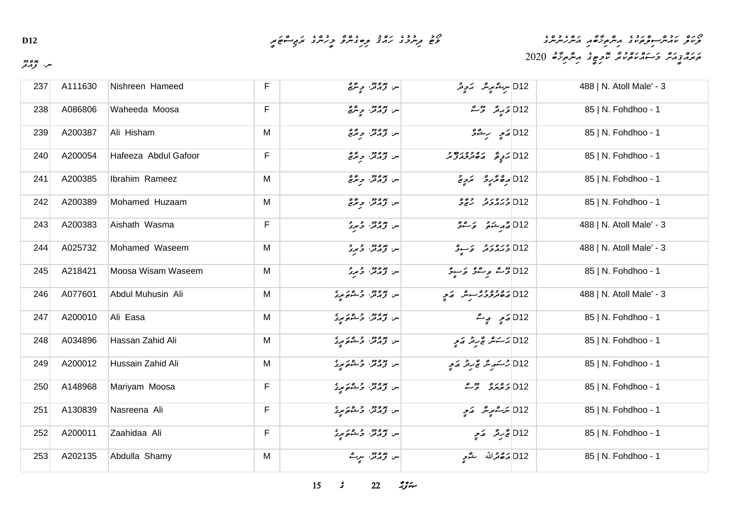*sCw7q7s5w7m< o<n9nOoAw7o< sCq;mAwBoEw7q<m; wBm;vB* م من المرة المرة المرة المرجع المرجع في المركبة 2020<br>مجم*د المريض المربوط المربع المرجع في المراجع المركبة* 

| 237 | A111630 | Nishreen Hameed      | F           | س تومین و شرچ                                  | D12 سرڪمبرنگر ڪر <i>چ</i> وگر                                                                                                                                                                                                  | 488   N. Atoll Male' - 3 |
|-----|---------|----------------------|-------------|------------------------------------------------|--------------------------------------------------------------------------------------------------------------------------------------------------------------------------------------------------------------------------------|--------------------------|
| 238 | A086806 | Waheeda Moosa        | $\mathsf F$ | س پرووډ، چرنگنج                                | D12 حَدِيثَرِ وَيْتَ =ُ                                                                                                                                                                                                        | 85   N. Fohdhoo - 1      |
| 239 | A200387 | Ali Hisham           | M           | س پره دو.<br>س ترمانش جاندنج                   | D12 <i>حکي رِڪُو</i> ُ                                                                                                                                                                                                         | 85   N. Fohdhoo - 1      |
| 240 | A200054 | Hafeeza Abdul Gafoor | $\mathsf F$ | س پره در پرې                                   | D12 يَرُوڤُ صَصْغَرْ فَرَمْ فَرَ                                                                                                                                                                                               | 85   N. Fohdhoo - 1      |
| 241 | A200385 | Ibrahim Rameez       | M           | س پره دو.<br>س ترمانو، جانگان                  | D12 <sub>مو</sub> ھ مگرچ گھرچ تھ                                                                                                                                                                                               | 85   N. Fohdhoo - 1      |
| 242 | A200389 | Mohamed Huzaam       | M           | س تورود. و پژي                                 | D12 <i>جەنگە جۇ جۇ</i> ج                                                                                                                                                                                                       | 85   N. Fohdhoo - 1      |
| 243 | A200383 | Aishath Wasma        | F           | س پره ده و در                                  | D12 مەم ھەرقىدى كەن ئاسىرى ئايتىلار ئىسى ئاسىرى ئايتىلار ئايتىلار ئايتىلار ئاسىرى ئاسىرى ئاسىرى ئايتىلار ئاسا<br>مەم ئاسىرى ئاسىرى ئاسىرى ئاسىرى ئاسىرى ئاسىرى ئاسىرى ئاسىرى ئاسىرى ئاسىرى ئاسىرى ئاسا ئاسا ئاسا ئاسا ئاسا ئاس | 488   N. Atoll Male' - 3 |
| 244 | A025732 | Mohamed Waseem       | M           | س پره دو و د                                   | D12 <i>\$ پروژنز غ-ب</i> و                                                                                                                                                                                                     | 488   N. Atoll Male' - 3 |
| 245 | A218421 | Moosa Wisam Waseem   | M           | س پره دو و د                                   | D12 تۇشە <sub>مۇ</sub> شۇ ئەس <sub>ى</sub> ۋ                                                                                                                                                                                   | 85   N. Fohdhoo - 1      |
| 246 | A077601 | Abdul Muhusin Ali    | M           | س محمد و ده در ه                               | D12 <i>چەقەقەقەترىش چ</i> ېر                                                                                                                                                                                                   | 488   N. Atoll Male' - 3 |
| 247 | A200010 | Ali Easa             | M           | س بوه دو د و د د د د<br>س تو ماندا او شوموس    | D12 <i>ڇپ ڇپ</i> ءَ                                                                                                                                                                                                            | 85   N. Fohdhoo - 1      |
| 248 | A034896 | Hassan Zahid Ali     | M           | س محمد و در د                                  | D12 پزشکر گاريز کامير                                                                                                                                                                                                          | 85   N. Fohdhoo - 1      |
| 249 | A200012 | Hussain Zahid Ali    | M           | بر برودد و و در د<br>س تورور، و شومونوی        | D12 ترىتىمبەنلا <i>چ بەنگە مەي</i>                                                                                                                                                                                             | 85   N. Fohdhoo - 1      |
| 250 | A148968 | Mariyam Moosa        | $\mathsf F$ | س بوه دو ده و در در د<br>س تو مرتبر و شومونبری | D12 كەبەر تەرىپە                                                                                                                                                                                                               | 85   N. Fohdhoo - 1      |
| 251 | A130839 | Nasreena Ali         | F           | س محمد و در د                                  | D12 <i>مَرْ-مْ</i> رِمَّر - رَمِّي                                                                                                                                                                                             | 85   N. Fohdhoo - 1      |
| 252 | A200011 | Zaahidaa Ali         | $\mathsf F$ | س مورد و در د                                  | D12 تج برمثر – م <i>ج</i> رٍ                                                                                                                                                                                                   | 85   N. Fohdhoo - 1      |
| 253 | A202135 | Abdulla Shamy        | M           | س ژوژش سرے                                     | D12 مَرْحَمْرَاللّه    مُتَّعْرِ                                                                                                                                                                                               | 85   N. Fohdhoo - 1      |

 $15$  *s*  $22$  *n***<sub>s</sub>** $\frac{2}{5}$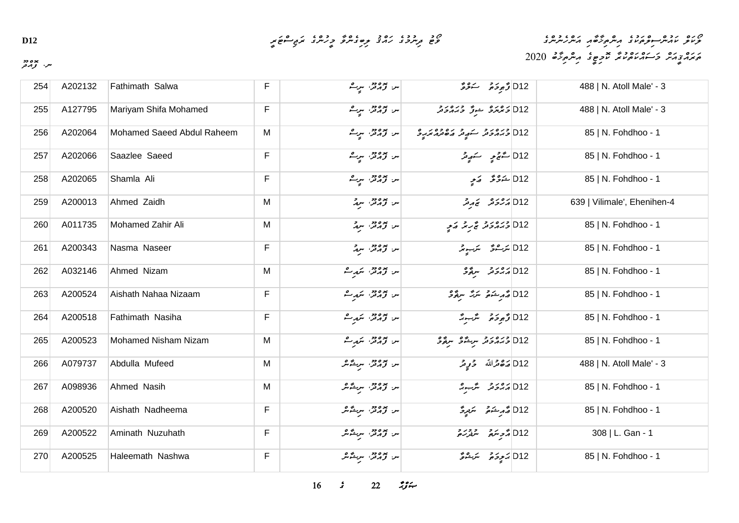*sCw7q7s5w7m< o<n9nOoAw7o< sCq;mAwBoEw7q<m; wBm;vB* م من المرة المرة المرة المرجع المرجع في المركبة 2020<br>مجم*د المريض المربوط المربع المرجع في المراجع المركبة* 

| 254 | A202132 | Fathimath Salwa             | $\mathsf F$ | س تورود. سرے                 | D12 تۇ <sub>ج</sub> وخۇ سىۋۇ                                                                                   | 488   N. Atoll Male' - 3    |
|-----|---------|-----------------------------|-------------|------------------------------|----------------------------------------------------------------------------------------------------------------|-----------------------------|
| 255 | A127795 | Mariyam Shifa Mohamed       | F           | س پرووړ، سرگ                 | D12 كەيمەك ھەرق كەيمەدىر                                                                                       | 488   N. Atoll Male' - 3    |
| 256 | A202064 | Mohamed Saeed Abdul Raheem  | M           | س پروود سرے                  | D12  37,070 سكورثر وكافلهم تمدير و                                                                             | 85   N. Fohdhoo - 1         |
| 257 | A202066 | Saazlee Saeed               | $\mathsf F$ | س موجود سرے                  | D12 ڪيٽمو ڪ <i>وپ</i> ٽر                                                                                       | 85   N. Fohdhoo - 1         |
| 258 | A202065 | Shamla Ali                  | F           | س پروور سرے                  | D12 ڪري <sub>ھ</sub> و                                                                                         | 85   N. Fohdhoo - 1         |
| 259 | A200013 | Ahmed Zaidh                 | M           | ייני צומצי יינול             | D12 كەرىمى ئىم ئىقرىتىلىكى ئىقتىلاش ئىقتىك ئىقتىك ئىقتىك ئىقتىك ئىقتى ئىقتىك ئىقتى ئىقتى ئىقتى ئىقتى ئىقتى ئىق | 639   Vilimale', Ehenihen-4 |
| 260 | A011735 | Mohamed Zahir Ali           | M           | ייני צמבלי יינג              | D12 <i>ڈیزودو چی پر م</i> یو                                                                                   | 85   N. Fohdhoo - 1         |
| 261 | A200343 | Nasma Naseer                | F           | س محمد من سر                 | D12 ىزىشۇ - س <i>تىبەي</i> تى                                                                                  | 85   N. Fohdhoo - 1         |
| 262 | A032146 | Ahmed Nizam                 | M           | س موجود سمدے                 | D12 <i>252.5 سِمَّةٌ 5</i>                                                                                     | 85   N. Fohdhoo - 1         |
| 263 | A200524 | Aishath Nahaa Nizaam        | F           | س پره ده شمېر ه              | D12 مَّ مِ شَمَّ سَرَّ سِمَّةٌ وَ                                                                              | 85   N. Fohdhoo - 1         |
| 264 | A200518 | Fathimath Nasiha            | $\mathsf F$ | س ومصر شهر ے                 | D12 <i>وُّجِودَةْ</i> مُ <i>رْسِدةْ</i>                                                                        | 85   N. Fohdhoo - 1         |
| 265 | A200523 | <b>Mohamed Nisham Nizam</b> | M           | س پوه ده شمېر ه              | D12 <i>\$نەۋەقر سىشۇ سىۋ</i> ۇ                                                                                 | 85   N. Fohdhoo - 1         |
| 266 | A079737 | Abdulla Mufeed              | M           | س پره دو.<br>س تربرس سرڪس    | D12 مَەھتراللە ئ <i>ۇي</i> تر                                                                                  | 488   N. Atoll Male' - 3    |
| 267 | A098936 | Ahmed Nasih                 | M           | س تورومي سيڪس                | D12 <i>كەندى تىلى بىلى</i> ئىسىدى بىر                                                                          | 85   N. Fohdhoo - 1         |
| 268 | A200520 | Aishath Nadheema            | F           | س تورومي سيڪس                | D12 مُگرِ شَوَ مَرَ مَرِ حَ                                                                                    | 85   N. Fohdhoo - 1         |
| 269 | A200522 | Aminath Nuzuhath            | F           | س پره دو.<br>س ترمانش سرڪائش | D12 مَّ مِ سَمَّ مِ مَعْرَبَهُمْ                                                                               | 308   L. Gan - 1            |
| 270 | A200525 | Haleemath Nashwa            | F           | س توردر سرگر                 | D12 <i>بَرْجِ دَة</i> مَرْشَرَّ                                                                                | 85   N. Fohdhoo - 1         |

 $16$  *s* 22  $29$   $-$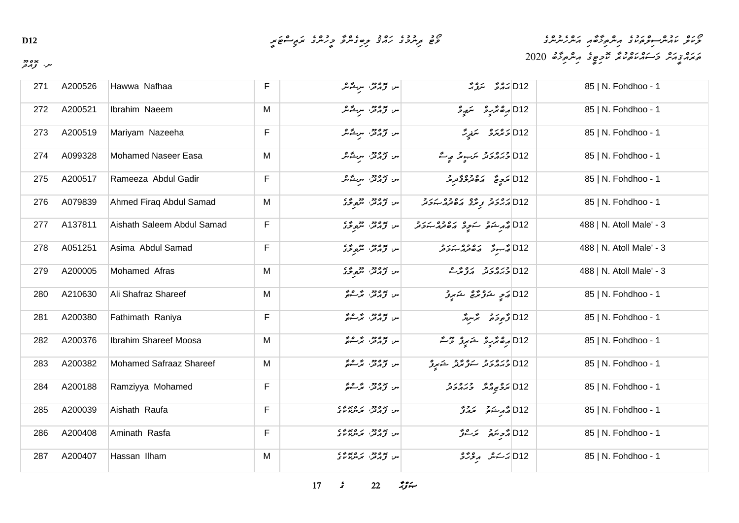*sCw7q7s5w7m< o<n9nOoAw7o< sCq;mAwBoEw7q<m; wBm;vB* م من المرة المرة المرة المرجع المرجع في المركبة 2020<br>مجم*د المريض المربوط المربع المرجع في المراجع المركبة* 

| 271 | A200526 | Hawwa Nafhaa                 | F           | س پره دو.<br>س تربرس سرڪو                | D12 يَرْدُوَّ سَمْدُبَّ                             | 85   N. Fohdhoo - 1      |
|-----|---------|------------------------------|-------------|------------------------------------------|-----------------------------------------------------|--------------------------|
| 272 | A200521 | Ibrahim Naeem                | M           | س تورود. سرگرمگر                         | D12 مەھ <i>مگرى</i> ئاسىم يىلىنى ئىل                | 85   N. Fohdhoo - 1      |
| 273 | A200519 | Mariyam Nazeeha              | F           | س پرووو سرگرمگر                          | D12 كەنزىرى سىن <sub>ى</sub> رىتى                   | 85   N. Fohdhoo - 1      |
| 274 | A099328 | <b>Mohamed Naseer Easa</b>   | M           | س پره دو. سرڪر                           | D12 <i>وُيُرُوُدُو مُرْسِيرُ مِ</i> سَّ             | 85   N. Fohdhoo - 1      |
| 275 | A200517 | Rameeza Abdul Gadir          | $\mathsf F$ | س پرووو سرڪر                             | D12 <i>تزوِيحَ - مَا هُ تَرْوُ ذُّبِيرْ</i>         | 85   N. Fohdhoo - 1      |
| 276 | A079839 | Ahmed Firaq Abdul Samad      | M           | س پره دو. دو دي                          | D12 <i>הייכית و بره و وه ب</i> ر د                  | 85   N. Fohdhoo - 1      |
| 277 | A137811 | Aishath Saleem Abdul Samad   | $\mathsf F$ | س پره دو دو ده                           | D12 <i>مەم شەم كىنوچ مەھەرمىدى</i> بو               | 488   N. Atoll Male' - 3 |
| 278 | A051251 | Asima Abdul Samad            | $\mathsf F$ | س پوه دو. دو دي                          | D12 م <sup>ۇ</sup> سى <i>رۇ مەھەرمىدى تەر</i>       | 488   N. Atoll Male' - 3 |
| 279 | A200005 | Mohamed Afras                | M           | س پره دو. دو ده                          | D12 <i>ۋېرەدىن مۇنۇ</i> گ                           | 488   N. Atoll Male' - 3 |
| 280 | A210630 | Ali Shafraz Shareef          | M           | س پوه دو. پژگوه                          | D12 كەمچ خەرگەمى خەمرىر                             | 85   N. Fohdhoo - 1      |
| 281 | A200380 | Fathimath Raniya             | F           | س پره دو. پژگره څ                        | D12 ۇ <sub>م</sub> وخ <sub>ى</sub> ق ئىرى <i>دۇ</i> | 85   N. Fohdhoo - 1      |
| 282 | A200376 | <b>Ibrahim Shareef Moosa</b> | M           | س پوه ده. پژگوه                          | D12 مەھەر ئەھمىرى تۇ شەرىكىت                        | 85   N. Fohdhoo - 1      |
| 283 | A200382 | Mohamed Safraaz Shareef      | M           | س پره دو. پر ده پر                       | D12 <i>ۋېرە دۇ. خۇنگى</i> ر خ <i>ەيرۇ</i>           | 85   N. Fohdhoo - 1      |
| 284 | A200188 | Ramziyya Mohamed             | F           | س پره دو. پر ۵۰۰                         | D12 <i>بَرْدْ بِهِ مَدْ حَدَمْ دَوْ</i> رَ          | 85   N. Fohdhoo - 1      |
| 285 | A200039 | Aishath Raufa                | F           | ת צפרד גפאדים<br>תי צמבי המעשיב          | D12 مەم ئىقىمە ئىمەرىخ                              | 85   N. Fohdhoo - 1      |
| 286 | A200408 | Aminath Rasfa                | F           | س بره در بر میره بر<br>س ق.م.مر بر سر سر | D12 گەج ئىرىم ئىم ئىر ئىسىر                         | 85   N. Fohdhoo - 1      |
| 287 | A200407 | Hassan Ilham                 | M           | ייט בסמי גם בישוב.<br>ייט צמבט המינועות  | D12 بزشکر م <i>وڈڈ</i>                              | 85   N. Fohdhoo - 1      |

 $17$  *s*  $22$   $29$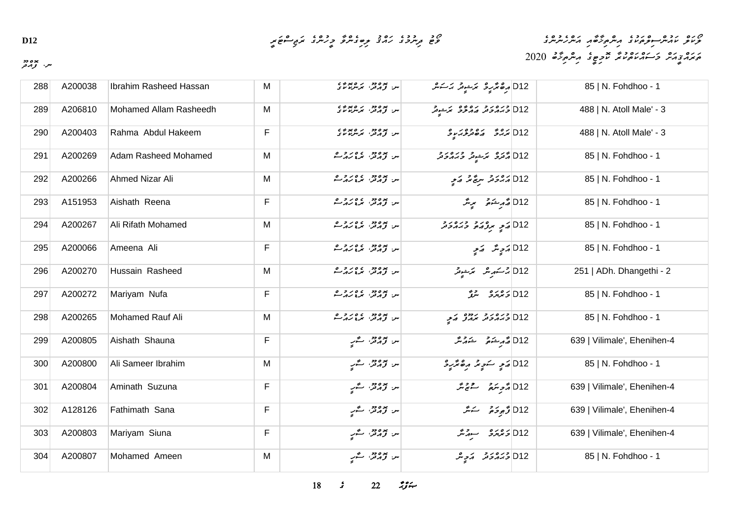*sCw7q7s5w7m< o<n9nOoAw7o< sCq;mAwBoEw7q<m; wBm;vB* م من المرة المرة المرة المرجع المرجع في المركبة 2020<br>مجم*د المريض المربوط المربع المرجع في المراجع المركبة* 

| 288 | A200038 | Ibrahim Rasheed Hassan | M           | س مودود بر دموده<br>س قرارتر، مرس                                                                                                                                                                                               | D12 م <i>ِ ۾ مُگرِ جُ مَرَ شومَہ مَرَ سَ</i> مَرُ     | 85   N. Fohdhoo - 1         |
|-----|---------|------------------------|-------------|---------------------------------------------------------------------------------------------------------------------------------------------------------------------------------------------------------------------------------|-------------------------------------------------------|-----------------------------|
| 289 | A206810 | Mohamed Allam Rasheedh | M           | יתי צפר בי גם ביבי בי<br>ייתי צבר בי האינו אינו בי                                                                                                                                                                              | D12 <i>وبروزو بروؤو برخو</i> تر                       | 488   N. Atoll Male' - 3    |
| 290 | A200403 | Rahma Abdul Hakeem     | F           | ות הממין המיניים בין המודעים בין המודעים בין המודעים בין המודעים בין המודעים בין המודעים בין המודעים בין המודע<br>המודעים בין המודעים בין המודעים בין המודעים בין המודעים בין המודעים בין המודעים בין המודעים בין המודעים בין ה | D12 يَرْيَرُّ مَەھْرَىْرَىدۇ.                         | 488   N. Atoll Male' - 3    |
| 291 | A200269 | Adam Rasheed Mohamed   | M           | 2, 2, 0, 0, 0, 0, 0, 0,                                                                                                                                                                                                         | D12 مُحَمَّدٌ مَرْجُومٌ وَبَرْمُ وَمَ                 | 85   N. Fohdhoo - 1         |
| 292 | A200266 | Ahmed Nizar Ali        | M           | س محمد مع در د ه                                                                                                                                                                                                                | D12 كەبرى قىر سىنى ئىر كەب                            | 85   N. Fohdhoo - 1         |
| 293 | A151953 | Aishath Reena          | $\mathsf F$ | س بوه دو به دورو ه                                                                                                                                                                                                              | D12 م <i>ۇم شۇم</i> مېڭر                              | 85   N. Fohdhoo - 1         |
| 294 | A200267 | Ali Rifath Mohamed     | M           | س بوه ده په در ده و                                                                                                                                                                                                             | D12 كەي بىر <i>ۇك قەتەم</i> دىر                       | 85   N. Fohdhoo - 1         |
| 295 | A200066 | Ameena Ali             | $\mathsf F$ | $\begin{array}{cc} 0.2200 & 0.028 \\ -0.2200 & 0.0000 \end{array}$                                                                                                                                                              | D12 ک <sup>ے</sup> چ <sup>س</sup> گر کے مح            | 85   N. Fohdhoo - 1         |
| 296 | A200270 | Hussain Rasheed        | M           |                                                                                                                                                                                                                                 | D12 پر کے مرکز میں مرکز کے مقدم                       | 251   ADh. Dhangethi - 2    |
| 297 | A200272 | Mariyam Nufa           | F           | س بوه دو به عام دوره.<br>س تواریخ برو برای                                                                                                                                                                                      | D12 دَيْرْتَرْ شَ                                     | 85   N. Fohdhoo - 1         |
| 298 | A200265 | Mohamed Rauf Ali       | M           | س موه ده عام در ده.                                                                                                                                                                                                             | D12 <i>בُגביבת יבביר בֿיבַ</i>                        | 85   N. Fohdhoo - 1         |
| 299 | A200805 | Aishath Shauna         | $\mathsf F$ | س پره ده شر                                                                                                                                                                                                                     | D12 م <i>ەرىشەق خەم</i> ەش                            | 639   Vilimale', Ehenihen-4 |
| 300 | A200800 | Ali Sameer Ibrahim     | M           | س پوه ده شکړ                                                                                                                                                                                                                    | D12 <i>ھَ جِ سَوِيرْ م</i> ِھْتَر <i>ُ</i> يْرَ مِ    | 85   N. Fohdhoo - 1         |
| 301 | A200804 | Aminath Suzuna         | $\mathsf F$ | س پره ده شر                                                                                                                                                                                                                     | D12 مَّ صِبَع <sub>َة م</sub> ِسَمَّة مِسَّمَّة مِسَّ | 639   Vilimale', Ehenihen-4 |
| 302 | A128126 | Fathimath Sana         | F           | س پوه ده گړ                                                                                                                                                                                                                     | D12 ۇ <sub>جو</sub> خۇ سەمىگە                         | 639   Vilimale', Ehenihen-4 |
| 303 | A200803 | Mariyam Siuna          | $\mathsf F$ | س پوه ده شمې                                                                                                                                                                                                                    | D12 <i>5 بروگر جسوم</i> گر                            | 639   Vilimale', Ehenihen-4 |
| 304 | A200807 | Mohamed Ameen          | M           | س پره دو.<br>س ژوفر، سگړ                                                                                                                                                                                                        | D12 <i>\$22.2 كەچ</i> ىر                              | 85   N. Fohdhoo - 1         |

 $18$  *s*  $22$  *n***<sub>s</sub>**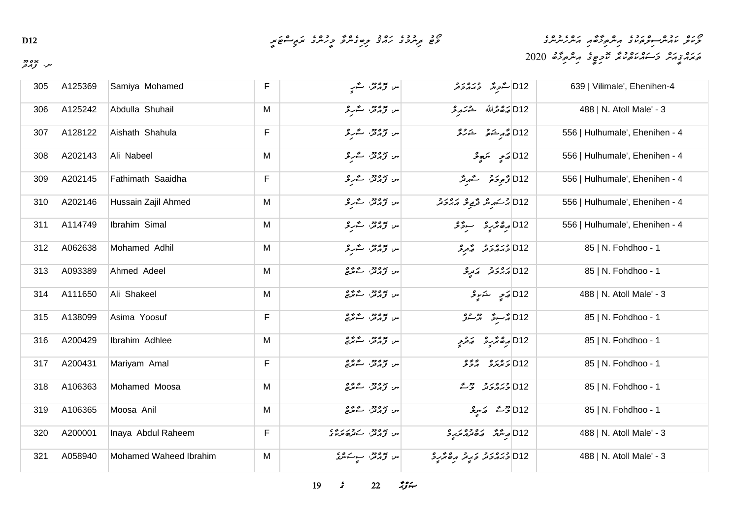*sCw7q7s5w7m< o<n9nOoAw7o< sCq;mAwBoEw7q<m; wBm;vB* م من المرة المرة المرة المرجع المرجع في المركبة 2020<br>مجم*د المريض المربوط المربع المرجع في المراجع المركبة* 

| 305 | A125369 | Samiya Mohamed         | F           | س پوه دو.<br>س تواريخ سگړ         | D12 جُوءَ وَبَرُودَتَر                                                                                               | 639   Vilimale', Ehenihen-4    |
|-----|---------|------------------------|-------------|-----------------------------------|----------------------------------------------------------------------------------------------------------------------|--------------------------------|
| 306 | A125242 | Abdulla Shuhail        | M           | س پوه ده. گري                     | D12  رَجْعَة اللَّهُ شَمَرَ مِرْعَ                                                                                   | 488   N. Atoll Male' - 3       |
| 307 | A128122 | Aishath Shahula        | F           | س تۇرقۇ، سەربۇ                    | D12 م <i>ەم شىم ئىشى</i> ئىشقى كەنتى ئىشتى ئىشتى ئىشتە ئىشتە ئىشتە ئىشتە ئىشتە ئىشتە ئىشتە ئىشتە ئىشتە ئىشتە ئىشتە ئ | 556   Hulhumale', Ehenihen - 4 |
| 308 | A202143 | Ali Nabeel             | M           | س پروژه گرو                       | D12 <i>مَ</i> حٍ سَھِعٌ                                                                                              | 556   Hulhumale', Ehenihen - 4 |
| 309 | A202145 | Fathimath Saaidha      | $\mathsf F$ | س پره ده شرقی                     | D12 ۇ <sub>ج</sub> وڭ شەرىتى                                                                                         | 556   Hulhumale', Ehenihen - 4 |
| 310 | A202146 | Hussain Zajil Ahmed    | M           | س پره ده شرقی                     | D12 يُرْسَمبِ مَرْ فَرَّمِي حَرَّ مَ <i>بْرُوَمْر</i> َ                                                              | 556   Hulhumale', Ehenihen - 4 |
| 311 | A114749 | Ibrahim Simal          | M           | س تۇرىق شەرىخ                     | D12 م <i>وڭ ئۇر</i> ۇ سو <i>ڈ</i> ۇ                                                                                  | 556   Hulhumale', Ehenihen - 4 |
| 312 | A062638 | Mohamed Adhil          | M           | س پره ده شرقی                     | D12 <i>وُبَرُوُدَوْ</i> ک <sup>و</sup> مِروْ                                                                         | 85   N. Fohdhoo - 1            |
| 313 | A093389 | Ahmed Adeel            | M           | س پره در شوره                     | D12 كەنزى قىر كەرىمى ئىل                                                                                             | 85   N. Fohdhoo - 1            |
| 314 | A111650 | Ali Shakeel            | M           | س پوه دو.<br>س نو مرتش شومری      | D12  ر <sub>َمح</sub> ش <sub>َم</sub> وء                                                                             | 488   N. Atoll Male' - 3       |
| 315 | A138099 | Asima Yoosuf           | F           | س پره در شوده                     | D12 پھر پر پور پور                                                                                                   | 85   N. Fohdhoo - 1            |
| 316 | A200429 | Ibrahim Adhlee         | M           | س پوه دو.<br>س تو پرتر، سوټري     | D12 م <i>ەھتىبەۋ مەم</i> تى <i>پ</i>                                                                                 | 85   N. Fohdhoo - 1            |
| 317 | A200431 | Mariyam Amal           | F           | س پره در شعري                     | D12 <i>خەمگۇ ئۇ</i> مۇ                                                                                               | 85   N. Fohdhoo - 1            |
| 318 | A106363 | Mohamed Moosa          | M           | س پره دو.<br>س تو پرتر، گويري     | D12 <i>جەنبەدى بى</i> ر                                                                                              | 85   N. Fohdhoo - 1            |
| 319 | A106365 | Moosa Anil             | M           | س پوه دو.<br>س نو مرتش شومری      | D12 چريگر ڪي سرچڪ                                                                                                    | 85   N. Fohdhoo - 1            |
| 320 | A200001 | Inaya Abdul Raheem     | F           | بر ده دو.<br>س ژوند، سنتره برنادی | D12 مەش <i>ۇر مەھەمدىر ۋ</i>                                                                                         | 488   N. Atoll Male' - 3       |
| 321 | A058940 | Mohamed Waheed Ibrahim | M           | اس وەدە سوسەس                     | D12 <i>وُبَهُ وَبُرٍ وَبِيدٌ وِهُ بُرُو</i> ڤِ                                                                       | 488   N. Atoll Male' - 3       |

 $19$  *s*  $22$  *n***<sub>s</sub>**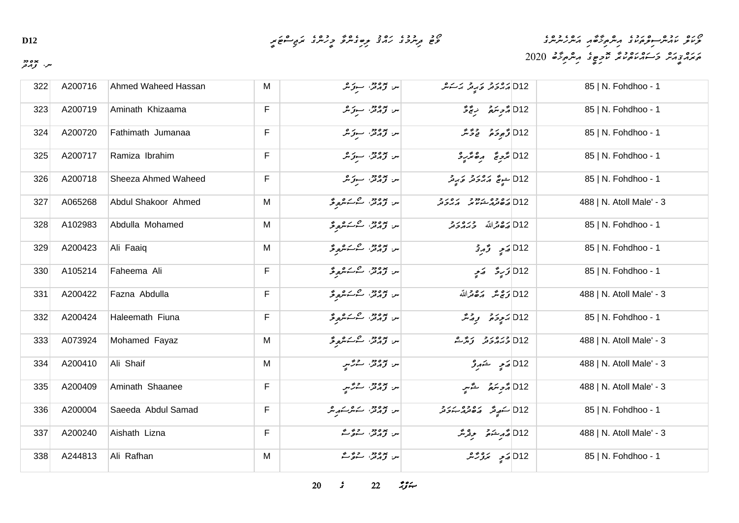*sCw7q7s5w7m< o<n9nOoAw7o< sCq;mAwBoEw7q<m; wBm;vB* م من المرة المرة المرة المرجع المرجع في المركبة 2020<br>مجم*د المريض المربوط المربع المرجع في المراجع المركبة* 

| 322 | A200716 | Ahmed Waheed Hassan | M            | س تۇرتىر، سوزىگە       | D12  كەبۇبىق كەرىق ئەسكەنلە                 | 85   N. Fohdhoo - 1      |
|-----|---------|---------------------|--------------|------------------------|---------------------------------------------|--------------------------|
| 323 | A200719 | Aminath Khizaama    | F            | س نورود. سوژنگر        | D12 مَّ حِسَمَ <sub>ّة سِ</sub> يَّ حَ      | 85   N. Fohdhoo - 1      |
| 324 | A200720 | Fathimath Jumanaa   | F            | س پره ده سوره          | D12 تَ <i>مِ حَقَّ</i> مَحَمَّد             | 85   N. Fohdhoo - 1      |
| 325 | A200717 | Ramiza Ibrahim      | $\mathsf{F}$ | س پره ده سوره          | D12 بَرْدِيَّ مِصْرَبِّرِدْ                 | 85   N. Fohdhoo - 1      |
| 326 | A200718 | Sheeza Ahmed Waheed | F            | س پوه ده سوکر          | D12  سُوِيَّ كَمَدُوَكَّرُ كَابِرِيْرُ      | 85   N. Fohdhoo - 1      |
| 327 | A065268 | Abdul Shakoor Ahmed | M            | س برەدە سىر شەھرىگە    | D12 مەھەرمەدە بەرەر دەر                     | 488   N. Atoll Male' - 3 |
| 328 | A102983 | Abdulla Mohamed     | M            | س تۇرتر، سىرسىرىدىگە   | D12 مَەھْتَراللە جەمەدىر                    | 85   N. Fohdhoo - 1      |
| 329 | A200423 | Ali Faaiq           | M            | س تۇرتىر، سىرسىتىدۇ ئى | D12  رَمٍ کَ <sup>م</sup> َ بِرِ تَحْ       | 85   N. Fohdhoo - 1      |
| 330 | A105214 | Faheema Ali         | F            | س تەرەپى سىرسىرىمىگە   | D12 ت <i>َرْبِ</i> رُّ – مَ <sup>م</sup> حٍ | 85   N. Fohdhoo - 1      |
| 331 | A200422 | Fazna Abdulla       | F            | س تورور گريگرمرمگر     | D12 <i>وَجْ مَّرَّ مَ</i> هْ قَرَاللَّه     | 488   N. Atoll Male' - 3 |
| 332 | A200424 | Haleemath Fiuna     | $\mathsf F$  | س پرورد گريگرمري گر    | D12 <i>يَجِدَةُ وِم</i> ْتُرُ               | 85   N. Fohdhoo - 1      |
| 333 | A073924 | Mohamed Fayaz       | M            | س تورور گريگرمرمگر     | D12 <i>ۋېزو دېڅر ت</i> وگرشو                | 488   N. Atoll Male' - 3 |
| 334 | A200410 | Ali Shaif           | M            | س پره ده شرگس          | D12 <i>جَ جِ حَبِ وَ</i>                    | 488   N. Atoll Male' - 3 |
| 335 | A200409 | Aminath Shaanee     | $\mathsf F$  | س پره ده شرگس          | D12 م <i>گرم مگر</i> م مگرمبر               | 488   N. Atoll Male' - 3 |
| 336 | A200004 | Saeeda Abdul Samad  | F            | س تورور سەھرىتىدىكى    | D12 س <i>ەرەڭ مەھەرمى</i> دىر               | 85   N. Fohdhoo - 1      |
| 337 | A200240 | Aishath Lizna       | $\mathsf F$  | س پره ده شوگ           | D12 مَگْرِسْدَة وِتْرْسَّر                  | 488   N. Atoll Male' - 3 |
| 338 | A244813 | Ali Rafhan          | M            | س تورود کے گ           | D12  ر <sub>َم</sub> ح برَوْرٌ مَر          | 85   N. Fohdhoo - 1      |

 $20$  *s*  $22$  *n***<sub>s</sub>** $\frac{2}{5}$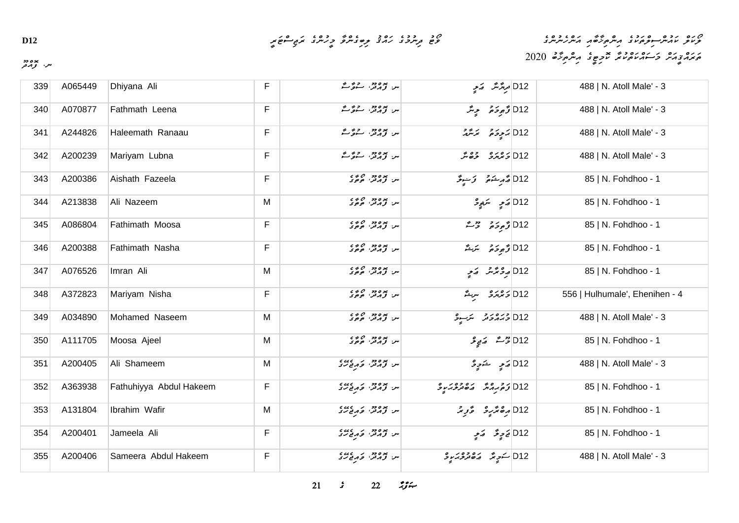*sCw7q7s5w7m< o<n9nOoAw7o< sCq;mAwBoEw7q<m; wBm;vB* م من المرة المرة المرة المرجع المرجع في المركبة 2020<br>مجم*د المريض المربوط المربع المرجع في المراجع المركبة* 

| 339 | A065449 | Dhiyana Ali             | $\mathsf{F}$ | س پره ده په شوک                            | D12 م <sub>ی</sub> رگمنگ کے مج                          | 488   N. Atoll Male' - 3       |
|-----|---------|-------------------------|--------------|--------------------------------------------|---------------------------------------------------------|--------------------------------|
| 340 | A070877 | Fathmath Leena          | F            | س پره دو. په شوک                           | D12 <i>وُجوحَۃ</i> مِہٹر                                | 488   N. Atoll Male' - 3       |
| 341 | A244826 | Haleemath Ranaau        | F            | س پره ده شوگ                               | D12 بَر <i>ُوِدَةْ</i> بَر <i>َسَّةْ</i>                | 488   N. Atoll Male' - 3       |
| 342 | A200239 | Mariyam Lubna           | F            | س پره در حرم شو                            | D12 <i>ويوه وهنگ</i>                                    | 488   N. Atoll Male' - 3       |
| 343 | A200386 | Aishath Fazeela         | $\mathsf F$  | س موه وجود مي ده.<br>س تو مرکز، موجود      | D12 مەم تىزىنىدى كىلىنىدىگە                             | 85   N. Fohdhoo - 1            |
| 344 | A213838 | Ali Nazeem              | M            | س موه ده ده ده ده ده د                     | D12 <i>ڇَ ڇِسَمَپِي</i> ءَ                              | 85   N. Fohdhoo - 1            |
| 345 | A086804 | Fathimath Moosa         | F            | سر پره در ۶۵ و.<br>س تر در تر، می          | D12 تۇم <sub>ۇ</sub> خۇ ئ <sup>ېمىگ</sup>               | 85   N. Fohdhoo - 1            |
| 346 | A200388 | Fathimath Nasha         | $\mathsf F$  | سر بره دو.<br>س تو برتر، مومو ت            | D12 <i>وُّجِ دَمُ</i> سَرَحَہُ                          | 85   N. Fohdhoo - 1            |
| 347 | A076526 | Imran Ali               | M            | س موه ده ده ده ده ده ده ده د               | D12 مەنزىتر كەم <u>ە</u>                                | 85   N. Fohdhoo - 1            |
| 348 | A372823 | Mariyam Nisha           | F            | س موه ده ده ده ده ده ده ده د               | D12 <i>وَ بُرْدَة</i> سِتَّ                             | 556   Hulhumale', Ehenihen - 4 |
| 349 | A034890 | Mohamed Naseem          | M            | س موه وده.<br>س تو مرکز، موجود             | D12 <i>\$ بَرْدْ دَوْ مَرْسِ</i> وْ                     | 488   N. Atoll Male' - 3       |
| 350 | A111705 | Moosa Ajeel             | M            | س پره دو.<br>س تر مرکز، محمود              | D12 صحي هي تربي                                         | 85   N. Fohdhoo - 1            |
| 351 | A200405 | Ali Shameem             | M            | بر و دو دو.<br>س تو پرس تو پر محمد مر      | D12  رَمِ شَرَوِرُ                                      | 488   N. Atoll Male' - 3       |
| 352 | A363938 | Fathuhiyya Abdul Hakeem | F            | یوه دو در دره ده<br>س نومانس تومانو ساد    | D12 زَمْ بِهُمَّ مُصْرَوْبَ بِهِ 3                      | 85   N. Fohdhoo - 1            |
| 353 | A131804 | Ibrahim Wafir           | M            | س بوه دو.<br>س تو پرس تو پر می بر ی        | D12 <sub>م</sub> ەممَّر <sub>ىب</sub> ۇ م <i>ۇرى</i> مە | 85   N. Fohdhoo - 1            |
| 354 | A200401 | Jameela Ali             | F            | بره دو د در دره داد.<br>س قرارتر، توکرد در | D12  ت <sub>َ</sub> حٍوِ تَرَ مِيَ ج                    | 85   N. Fohdhoo - 1            |
| 355 | A200406 | Sameera Abdul Hakeem    | F            | بر و دو.<br>س تو پرس کو پر محمد م          | D12 سَرِيمٌ مَصْرُوْبَرَ رِوْ                           | 488   N. Atoll Male' - 3       |

 $21$  *s*  $22$  *n***<sub>s</sub>**